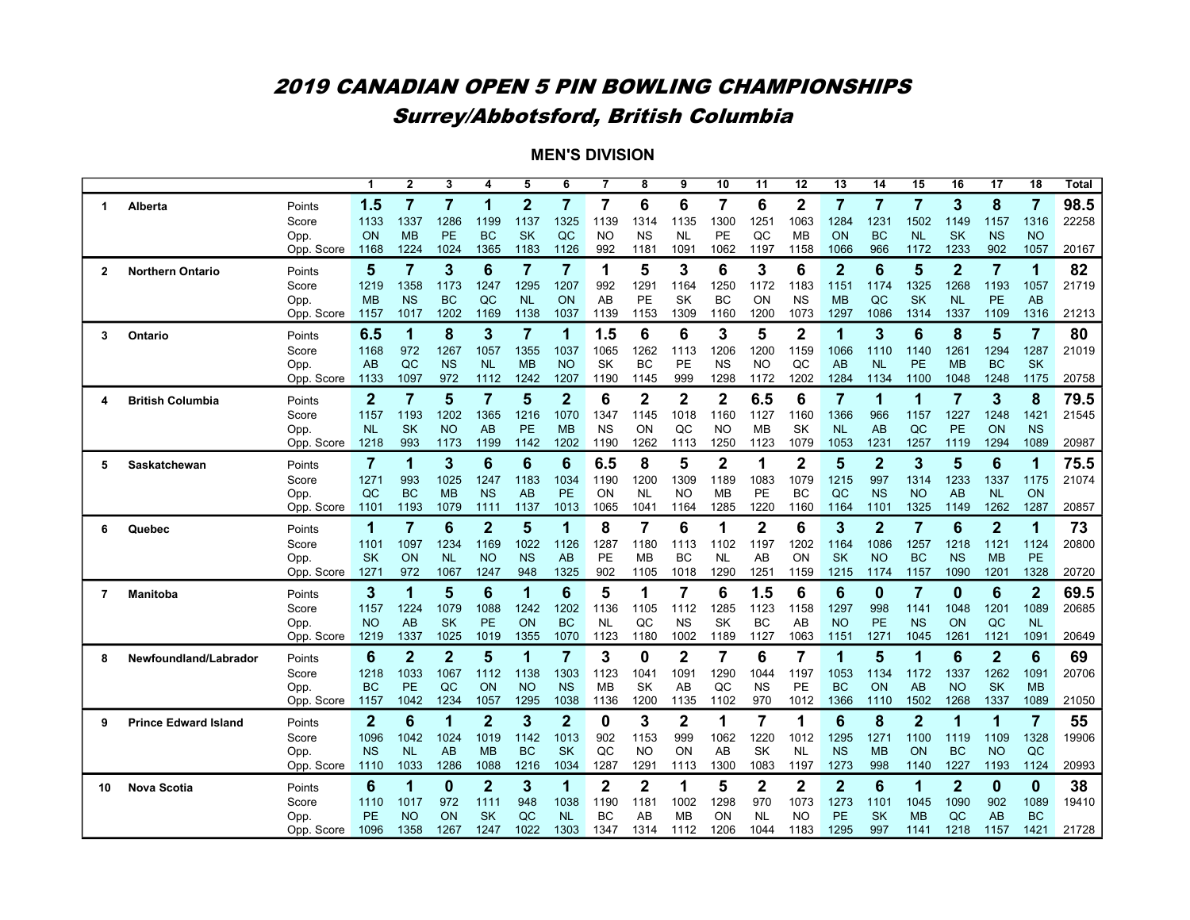# 2019 CANADIAN OPEN 5 PIN BOWLING CHAMPIONSHIPS Surrey/Abbotsford, British Columbia

| 1.5<br>$\overline{7}$<br>7<br>$\mathbf{2}$<br>7<br>7<br>6<br>$\mathbf 2$<br>$\overline{7}$<br>7<br>7<br>3<br>8<br>6<br>7<br>6<br>7<br>1<br>Points<br>Alberta<br>1<br>1337<br>1286<br>1137<br>1325<br>1139<br>1300<br>1063<br>1284<br>1231<br>1502<br>1316<br>1133<br>1199<br>1314<br>1135<br>1251<br>1149<br>1157<br>Score<br><b>SK</b><br><b>BC</b><br>ON<br><b>MB</b><br>PE<br><b>BC</b><br>QC<br><b>NO</b><br><b>NS</b><br>PE<br>QC<br>ON<br><b>NL</b><br><b>SK</b><br><b>NS</b><br><b>NO</b><br>Opp.<br><b>NL</b><br>MB<br>966<br>Opp. Score<br>1224<br>1024<br>1365<br>1183<br>1126<br>992<br>1091<br>1062<br>1197<br>1066<br>1172<br>1233<br>902<br>1057<br>1168<br>1181<br>1158<br>$\overline{7}$<br>3<br>6<br>$\overline{7}$<br>7<br>1<br>5<br>3<br>6<br>3<br>6<br>$\overline{2}$<br>6<br>5<br>$\overline{2}$<br>$\overline{7}$<br>82<br>5<br>1<br>Points<br><b>Northern Ontario</b><br>2<br>1295<br>1207<br>1219<br>1358<br>1173<br>1247<br>992<br>1291<br>1164<br>1250<br>1172<br>1183<br>1151<br>1174<br>1325<br>1268<br>1193<br>1057<br>Score<br><b>NS</b><br><b>BC</b><br>AB<br><b>SK</b><br>QC<br><b>SK</b><br><b>MB</b><br>QC<br><b>NL</b><br>ON<br>PЕ<br>BC<br>ON<br><b>NS</b><br><b>MB</b><br><b>NL</b><br><b>PE</b><br>AB<br>Opp.<br>1202<br>1200<br>1297<br>1086<br>1017<br>1169<br>1138<br>1037<br>1139<br>1153<br>1309<br>1160<br>1073<br>1314<br>1337<br>1109<br>1316<br>Opp. Score<br>1157<br>8<br>3<br>1.5<br>6<br>6<br>3<br>5<br>2<br>3<br>6<br>8<br>5<br>$\overline{7}$<br>1<br>$\overline{7}$<br>1<br>80<br>6.5<br>1<br>Ontario<br>Points<br>3<br>1168<br>972<br>1267<br>1057<br>1355<br>1037<br>1065<br>1262<br>1206<br>1200<br>1159<br>1066<br>1261<br>1294<br>1287<br>Score<br>1113<br>1110<br>1140<br><b>SK</b><br>AB<br>QC<br><b>NS</b><br><b>MB</b><br><b>NO</b><br><b>SK</b><br>BC<br>PE<br><b>NS</b><br>NO.<br>QC<br>AB<br><b>NL</b><br>PE<br><b>MB</b><br><b>BC</b><br>Opp.<br><b>NL</b><br>20758<br>1097<br>972<br>1207<br>1190<br>999<br>1298<br>1202<br>1284<br>1134<br>1100<br>1175<br>Opp. Score<br>1133<br>1112<br>1242<br>1145<br>1172<br>1048<br>1248<br>$\overline{2}$<br>6<br>$\overline{2}$<br>$\mathbf 2$<br>$\overline{7}$<br>$\mathbf{2}$<br>7<br>5<br>7<br>5<br>2<br>6.5<br>6<br>1<br>$\overline{7}$<br>3<br>8<br>1<br><b>British Columbia</b><br>Points<br>4<br>1157<br>1193<br>1202<br>1365<br>1216<br>1070<br>1347<br>1018<br>1160<br>1160<br>1366<br>966<br>1227<br>1248<br>1421<br>1145<br>1127<br>1157<br>Score<br><b>SK</b><br><b>PE</b><br><b>NS</b><br><b>SK</b><br><b>NL</b><br><b>NO</b><br><b>MB</b><br>ON<br>QC<br>MВ<br>AB<br>QC<br><b>PE</b><br>ON<br><b>NS</b><br>Opp.<br>AB<br>NO<br><b>NL</b><br>1202<br>1089<br>20987<br>Opp. Score<br>1218<br>993<br>1173<br>1199<br>1142<br>1190<br>1262<br>1113<br>1250<br>1123<br>1079<br>1053<br>1231<br>1257<br>1119<br>1294<br>$\overline{\mathbf{2}}$<br>$\overline{7}$<br>3<br>5<br>$\overline{2}$<br>$\overline{2}$<br>5<br>3<br>5<br>6<br>6<br>6<br>6.5<br>8<br>6<br>1<br>1<br>1<br>Points<br>Saskatchewan<br>5<br>1271<br>1025<br>1183<br>1034<br>1190<br>1200<br>1309<br>1189<br>1079<br>1215<br>997<br>1314<br>1233<br>1337<br>Score<br>993<br>1247<br>1083<br>1175<br>PE<br>QC<br><b>BC</b><br><b>NS</b><br>ON<br><b>NL</b><br><b>NO</b><br><b>PE</b><br>BC<br>QC<br><b>NS</b><br><b>NO</b><br>AB<br>ON<br>Opp.<br><b>MB</b><br>AB<br>МB<br><b>NL</b> |  |            |      |      |      |      | 5    | 6    | 7    | 8    | $\overline{9}$ | 10   | 11   | 12   | $\overline{13}$ | 14   | 15   | 16   | 17   | 18   | <b>Total</b> |
|----------------------------------------------------------------------------------------------------------------------------------------------------------------------------------------------------------------------------------------------------------------------------------------------------------------------------------------------------------------------------------------------------------------------------------------------------------------------------------------------------------------------------------------------------------------------------------------------------------------------------------------------------------------------------------------------------------------------------------------------------------------------------------------------------------------------------------------------------------------------------------------------------------------------------------------------------------------------------------------------------------------------------------------------------------------------------------------------------------------------------------------------------------------------------------------------------------------------------------------------------------------------------------------------------------------------------------------------------------------------------------------------------------------------------------------------------------------------------------------------------------------------------------------------------------------------------------------------------------------------------------------------------------------------------------------------------------------------------------------------------------------------------------------------------------------------------------------------------------------------------------------------------------------------------------------------------------------------------------------------------------------------------------------------------------------------------------------------------------------------------------------------------------------------------------------------------------------------------------------------------------------------------------------------------------------------------------------------------------------------------------------------------------------------------------------------------------------------------------------------------------------------------------------------------------------------------------------------------------------------------------------------------------------------------------------------------------------------------------------------------------------------------------------------------------------------------------------------------------------------------------------------------------------------------------------------------------------------------------------------------------------------------------------------------------------------------------------------------------------------------------------------------------------------------------------------------------------------------------------------------------------------------------------------------------------------------------------------------------------------------|--|------------|------|------|------|------|------|------|------|------|----------------|------|------|------|-----------------|------|------|------|------|------|--------------|
|                                                                                                                                                                                                                                                                                                                                                                                                                                                                                                                                                                                                                                                                                                                                                                                                                                                                                                                                                                                                                                                                                                                                                                                                                                                                                                                                                                                                                                                                                                                                                                                                                                                                                                                                                                                                                                                                                                                                                                                                                                                                                                                                                                                                                                                                                                                                                                                                                                                                                                                                                                                                                                                                                                                                                                                                                                                                                                                                                                                                                                                                                                                                                                                                                                                                                                                                                                            |  |            |      |      |      |      |      |      |      |      |                |      |      |      |                 |      |      |      |      |      | 98.5         |
|                                                                                                                                                                                                                                                                                                                                                                                                                                                                                                                                                                                                                                                                                                                                                                                                                                                                                                                                                                                                                                                                                                                                                                                                                                                                                                                                                                                                                                                                                                                                                                                                                                                                                                                                                                                                                                                                                                                                                                                                                                                                                                                                                                                                                                                                                                                                                                                                                                                                                                                                                                                                                                                                                                                                                                                                                                                                                                                                                                                                                                                                                                                                                                                                                                                                                                                                                                            |  |            |      |      |      |      |      |      |      |      |                |      |      |      |                 |      |      |      |      |      | 22258        |
|                                                                                                                                                                                                                                                                                                                                                                                                                                                                                                                                                                                                                                                                                                                                                                                                                                                                                                                                                                                                                                                                                                                                                                                                                                                                                                                                                                                                                                                                                                                                                                                                                                                                                                                                                                                                                                                                                                                                                                                                                                                                                                                                                                                                                                                                                                                                                                                                                                                                                                                                                                                                                                                                                                                                                                                                                                                                                                                                                                                                                                                                                                                                                                                                                                                                                                                                                                            |  |            |      |      |      |      |      |      |      |      |                |      |      |      |                 |      |      |      |      |      |              |
|                                                                                                                                                                                                                                                                                                                                                                                                                                                                                                                                                                                                                                                                                                                                                                                                                                                                                                                                                                                                                                                                                                                                                                                                                                                                                                                                                                                                                                                                                                                                                                                                                                                                                                                                                                                                                                                                                                                                                                                                                                                                                                                                                                                                                                                                                                                                                                                                                                                                                                                                                                                                                                                                                                                                                                                                                                                                                                                                                                                                                                                                                                                                                                                                                                                                                                                                                                            |  |            |      |      |      |      |      |      |      |      |                |      |      |      |                 |      |      |      |      |      | 20167        |
|                                                                                                                                                                                                                                                                                                                                                                                                                                                                                                                                                                                                                                                                                                                                                                                                                                                                                                                                                                                                                                                                                                                                                                                                                                                                                                                                                                                                                                                                                                                                                                                                                                                                                                                                                                                                                                                                                                                                                                                                                                                                                                                                                                                                                                                                                                                                                                                                                                                                                                                                                                                                                                                                                                                                                                                                                                                                                                                                                                                                                                                                                                                                                                                                                                                                                                                                                                            |  |            |      |      |      |      |      |      |      |      |                |      |      |      |                 |      |      |      |      |      |              |
|                                                                                                                                                                                                                                                                                                                                                                                                                                                                                                                                                                                                                                                                                                                                                                                                                                                                                                                                                                                                                                                                                                                                                                                                                                                                                                                                                                                                                                                                                                                                                                                                                                                                                                                                                                                                                                                                                                                                                                                                                                                                                                                                                                                                                                                                                                                                                                                                                                                                                                                                                                                                                                                                                                                                                                                                                                                                                                                                                                                                                                                                                                                                                                                                                                                                                                                                                                            |  |            |      |      |      |      |      |      |      |      |                |      |      |      |                 |      |      |      |      |      | 21719        |
|                                                                                                                                                                                                                                                                                                                                                                                                                                                                                                                                                                                                                                                                                                                                                                                                                                                                                                                                                                                                                                                                                                                                                                                                                                                                                                                                                                                                                                                                                                                                                                                                                                                                                                                                                                                                                                                                                                                                                                                                                                                                                                                                                                                                                                                                                                                                                                                                                                                                                                                                                                                                                                                                                                                                                                                                                                                                                                                                                                                                                                                                                                                                                                                                                                                                                                                                                                            |  |            |      |      |      |      |      |      |      |      |                |      |      |      |                 |      |      |      |      |      |              |
|                                                                                                                                                                                                                                                                                                                                                                                                                                                                                                                                                                                                                                                                                                                                                                                                                                                                                                                                                                                                                                                                                                                                                                                                                                                                                                                                                                                                                                                                                                                                                                                                                                                                                                                                                                                                                                                                                                                                                                                                                                                                                                                                                                                                                                                                                                                                                                                                                                                                                                                                                                                                                                                                                                                                                                                                                                                                                                                                                                                                                                                                                                                                                                                                                                                                                                                                                                            |  |            |      |      |      |      |      |      |      |      |                |      |      |      |                 |      |      |      |      |      | 21213        |
|                                                                                                                                                                                                                                                                                                                                                                                                                                                                                                                                                                                                                                                                                                                                                                                                                                                                                                                                                                                                                                                                                                                                                                                                                                                                                                                                                                                                                                                                                                                                                                                                                                                                                                                                                                                                                                                                                                                                                                                                                                                                                                                                                                                                                                                                                                                                                                                                                                                                                                                                                                                                                                                                                                                                                                                                                                                                                                                                                                                                                                                                                                                                                                                                                                                                                                                                                                            |  |            |      |      |      |      |      |      |      |      |                |      |      |      |                 |      |      |      |      |      |              |
|                                                                                                                                                                                                                                                                                                                                                                                                                                                                                                                                                                                                                                                                                                                                                                                                                                                                                                                                                                                                                                                                                                                                                                                                                                                                                                                                                                                                                                                                                                                                                                                                                                                                                                                                                                                                                                                                                                                                                                                                                                                                                                                                                                                                                                                                                                                                                                                                                                                                                                                                                                                                                                                                                                                                                                                                                                                                                                                                                                                                                                                                                                                                                                                                                                                                                                                                                                            |  |            |      |      |      |      |      |      |      |      |                |      |      |      |                 |      |      |      |      |      | 21019        |
|                                                                                                                                                                                                                                                                                                                                                                                                                                                                                                                                                                                                                                                                                                                                                                                                                                                                                                                                                                                                                                                                                                                                                                                                                                                                                                                                                                                                                                                                                                                                                                                                                                                                                                                                                                                                                                                                                                                                                                                                                                                                                                                                                                                                                                                                                                                                                                                                                                                                                                                                                                                                                                                                                                                                                                                                                                                                                                                                                                                                                                                                                                                                                                                                                                                                                                                                                                            |  |            |      |      |      |      |      |      |      |      |                |      |      |      |                 |      |      |      |      |      |              |
|                                                                                                                                                                                                                                                                                                                                                                                                                                                                                                                                                                                                                                                                                                                                                                                                                                                                                                                                                                                                                                                                                                                                                                                                                                                                                                                                                                                                                                                                                                                                                                                                                                                                                                                                                                                                                                                                                                                                                                                                                                                                                                                                                                                                                                                                                                                                                                                                                                                                                                                                                                                                                                                                                                                                                                                                                                                                                                                                                                                                                                                                                                                                                                                                                                                                                                                                                                            |  |            |      |      |      |      |      |      |      |      |                |      |      |      |                 |      |      |      |      |      |              |
|                                                                                                                                                                                                                                                                                                                                                                                                                                                                                                                                                                                                                                                                                                                                                                                                                                                                                                                                                                                                                                                                                                                                                                                                                                                                                                                                                                                                                                                                                                                                                                                                                                                                                                                                                                                                                                                                                                                                                                                                                                                                                                                                                                                                                                                                                                                                                                                                                                                                                                                                                                                                                                                                                                                                                                                                                                                                                                                                                                                                                                                                                                                                                                                                                                                                                                                                                                            |  |            |      |      |      |      |      |      |      |      |                |      |      |      |                 |      |      |      |      |      | 79.5         |
|                                                                                                                                                                                                                                                                                                                                                                                                                                                                                                                                                                                                                                                                                                                                                                                                                                                                                                                                                                                                                                                                                                                                                                                                                                                                                                                                                                                                                                                                                                                                                                                                                                                                                                                                                                                                                                                                                                                                                                                                                                                                                                                                                                                                                                                                                                                                                                                                                                                                                                                                                                                                                                                                                                                                                                                                                                                                                                                                                                                                                                                                                                                                                                                                                                                                                                                                                                            |  |            |      |      |      |      |      |      |      |      |                |      |      |      |                 |      |      |      |      |      | 21545        |
|                                                                                                                                                                                                                                                                                                                                                                                                                                                                                                                                                                                                                                                                                                                                                                                                                                                                                                                                                                                                                                                                                                                                                                                                                                                                                                                                                                                                                                                                                                                                                                                                                                                                                                                                                                                                                                                                                                                                                                                                                                                                                                                                                                                                                                                                                                                                                                                                                                                                                                                                                                                                                                                                                                                                                                                                                                                                                                                                                                                                                                                                                                                                                                                                                                                                                                                                                                            |  |            |      |      |      |      |      |      |      |      |                |      |      |      |                 |      |      |      |      |      |              |
|                                                                                                                                                                                                                                                                                                                                                                                                                                                                                                                                                                                                                                                                                                                                                                                                                                                                                                                                                                                                                                                                                                                                                                                                                                                                                                                                                                                                                                                                                                                                                                                                                                                                                                                                                                                                                                                                                                                                                                                                                                                                                                                                                                                                                                                                                                                                                                                                                                                                                                                                                                                                                                                                                                                                                                                                                                                                                                                                                                                                                                                                                                                                                                                                                                                                                                                                                                            |  |            |      |      |      |      |      |      |      |      |                |      |      |      |                 |      |      |      |      |      |              |
|                                                                                                                                                                                                                                                                                                                                                                                                                                                                                                                                                                                                                                                                                                                                                                                                                                                                                                                                                                                                                                                                                                                                                                                                                                                                                                                                                                                                                                                                                                                                                                                                                                                                                                                                                                                                                                                                                                                                                                                                                                                                                                                                                                                                                                                                                                                                                                                                                                                                                                                                                                                                                                                                                                                                                                                                                                                                                                                                                                                                                                                                                                                                                                                                                                                                                                                                                                            |  |            |      |      |      |      |      |      |      |      |                |      |      |      |                 |      |      |      |      |      | 75.5         |
|                                                                                                                                                                                                                                                                                                                                                                                                                                                                                                                                                                                                                                                                                                                                                                                                                                                                                                                                                                                                                                                                                                                                                                                                                                                                                                                                                                                                                                                                                                                                                                                                                                                                                                                                                                                                                                                                                                                                                                                                                                                                                                                                                                                                                                                                                                                                                                                                                                                                                                                                                                                                                                                                                                                                                                                                                                                                                                                                                                                                                                                                                                                                                                                                                                                                                                                                                                            |  |            |      |      |      |      |      |      |      |      |                |      |      |      |                 |      |      |      |      |      | 21074        |
|                                                                                                                                                                                                                                                                                                                                                                                                                                                                                                                                                                                                                                                                                                                                                                                                                                                                                                                                                                                                                                                                                                                                                                                                                                                                                                                                                                                                                                                                                                                                                                                                                                                                                                                                                                                                                                                                                                                                                                                                                                                                                                                                                                                                                                                                                                                                                                                                                                                                                                                                                                                                                                                                                                                                                                                                                                                                                                                                                                                                                                                                                                                                                                                                                                                                                                                                                                            |  |            |      |      |      |      |      |      |      |      |                |      |      |      |                 |      |      |      |      |      |              |
|                                                                                                                                                                                                                                                                                                                                                                                                                                                                                                                                                                                                                                                                                                                                                                                                                                                                                                                                                                                                                                                                                                                                                                                                                                                                                                                                                                                                                                                                                                                                                                                                                                                                                                                                                                                                                                                                                                                                                                                                                                                                                                                                                                                                                                                                                                                                                                                                                                                                                                                                                                                                                                                                                                                                                                                                                                                                                                                                                                                                                                                                                                                                                                                                                                                                                                                                                                            |  | Opp. Score | 1101 | 1193 | 1079 | 1111 | 1137 | 1013 | 1065 | 1041 | 1164           | 1285 | 1220 | 1160 | 1164            | 1101 | 1325 | 1149 | 1262 | 1287 | 20857        |
| 5<br>8<br>3<br>$\overline{2}$<br>$\overline{7}$<br>$\overline{2}$<br>$\overline{7}$<br>6<br>$\overline{2}$<br>$\overline{7}$<br>6<br>$\mathbf 2$<br>6<br>6<br>73<br>1<br>1<br>1<br>1<br>Quebec<br>Points<br>6                                                                                                                                                                                                                                                                                                                                                                                                                                                                                                                                                                                                                                                                                                                                                                                                                                                                                                                                                                                                                                                                                                                                                                                                                                                                                                                                                                                                                                                                                                                                                                                                                                                                                                                                                                                                                                                                                                                                                                                                                                                                                                                                                                                                                                                                                                                                                                                                                                                                                                                                                                                                                                                                                                                                                                                                                                                                                                                                                                                                                                                                                                                                                              |  |            |      |      |      |      |      |      |      |      |                |      |      |      |                 |      |      |      |      |      |              |
| 1101<br>1097<br>1234<br>1022<br>1287<br>1102<br>1202<br>1086<br>1257<br>1121<br>1124<br>Score<br>1169<br>1126<br>1180<br>1197<br>1164<br>1218<br>1113                                                                                                                                                                                                                                                                                                                                                                                                                                                                                                                                                                                                                                                                                                                                                                                                                                                                                                                                                                                                                                                                                                                                                                                                                                                                                                                                                                                                                                                                                                                                                                                                                                                                                                                                                                                                                                                                                                                                                                                                                                                                                                                                                                                                                                                                                                                                                                                                                                                                                                                                                                                                                                                                                                                                                                                                                                                                                                                                                                                                                                                                                                                                                                                                                      |  |            |      |      |      |      |      |      |      |      |                |      |      |      |                 |      |      |      |      |      | 20800        |
| <b>NS</b><br>PE<br><b>SK</b><br><b>PE</b><br><b>SK</b><br>ON<br><b>NL</b><br><b>NO</b><br>AB<br><b>MB</b><br><b>BC</b><br><b>NL</b><br>AB<br>ON<br><b>NO</b><br><b>BC</b><br><b>NS</b><br><b>MB</b><br>Opp.<br>1325<br>902<br>1290<br>1251<br>1328<br>Opp. Score<br>1271<br>972<br>1067<br>1247<br>948<br>1105<br>1018<br>1159<br>1215<br>1174<br>1157<br>1090<br>1201                                                                                                                                                                                                                                                                                                                                                                                                                                                                                                                                                                                                                                                                                                                                                                                                                                                                                                                                                                                                                                                                                                                                                                                                                                                                                                                                                                                                                                                                                                                                                                                                                                                                                                                                                                                                                                                                                                                                                                                                                                                                                                                                                                                                                                                                                                                                                                                                                                                                                                                                                                                                                                                                                                                                                                                                                                                                                                                                                                                                     |  |            |      |      |      |      |      |      |      |      |                |      |      |      |                 |      |      |      |      |      | 20720        |
|                                                                                                                                                                                                                                                                                                                                                                                                                                                                                                                                                                                                                                                                                                                                                                                                                                                                                                                                                                                                                                                                                                                                                                                                                                                                                                                                                                                                                                                                                                                                                                                                                                                                                                                                                                                                                                                                                                                                                                                                                                                                                                                                                                                                                                                                                                                                                                                                                                                                                                                                                                                                                                                                                                                                                                                                                                                                                                                                                                                                                                                                                                                                                                                                                                                                                                                                                                            |  |            |      |      |      |      |      |      |      |      |                |      |      |      |                 |      |      |      |      |      |              |
| 5<br>$\overline{7}$<br>3<br>5<br>6<br>$\overline{7}$<br>$6\phantom{1}6$<br>$\bf{0}$<br>$\bf{0}$<br>$\overline{2}$<br>1<br>6<br>1<br>1<br>6<br>6<br>1.5<br>6<br>Points<br>Manitoba<br>7                                                                                                                                                                                                                                                                                                                                                                                                                                                                                                                                                                                                                                                                                                                                                                                                                                                                                                                                                                                                                                                                                                                                                                                                                                                                                                                                                                                                                                                                                                                                                                                                                                                                                                                                                                                                                                                                                                                                                                                                                                                                                                                                                                                                                                                                                                                                                                                                                                                                                                                                                                                                                                                                                                                                                                                                                                                                                                                                                                                                                                                                                                                                                                                     |  |            |      |      |      |      |      |      |      |      |                |      |      |      |                 |      |      |      |      |      | 69.5         |
| 1079<br>998<br>Score<br>1157<br>1224<br>1088<br>1242<br>1202<br>1136<br>1105<br>1112<br>1285<br>1123<br>1158<br>1297<br>1141<br>1048<br>1201<br>1089                                                                                                                                                                                                                                                                                                                                                                                                                                                                                                                                                                                                                                                                                                                                                                                                                                                                                                                                                                                                                                                                                                                                                                                                                                                                                                                                                                                                                                                                                                                                                                                                                                                                                                                                                                                                                                                                                                                                                                                                                                                                                                                                                                                                                                                                                                                                                                                                                                                                                                                                                                                                                                                                                                                                                                                                                                                                                                                                                                                                                                                                                                                                                                                                                       |  |            |      |      |      |      |      |      |      |      |                |      |      |      |                 |      |      |      |      |      | 20685        |
| PE<br><b>NO</b><br>AB<br><b>SK</b><br>PE<br>ON<br><b>BC</b><br><b>NL</b><br>QC<br><b>NS</b><br>SK<br>BC<br>AB<br><b>NO</b><br><b>NS</b><br>ON<br>QC<br><b>NL</b><br>Opp.<br>1337<br>1070<br>1123<br>1180<br>1002<br>1189<br>1127<br>1063<br>1271<br>1091<br>Opp. Score<br>1219<br>1025<br>1019<br>1355<br>1151<br>1045<br>1261<br>1121                                                                                                                                                                                                                                                                                                                                                                                                                                                                                                                                                                                                                                                                                                                                                                                                                                                                                                                                                                                                                                                                                                                                                                                                                                                                                                                                                                                                                                                                                                                                                                                                                                                                                                                                                                                                                                                                                                                                                                                                                                                                                                                                                                                                                                                                                                                                                                                                                                                                                                                                                                                                                                                                                                                                                                                                                                                                                                                                                                                                                                     |  |            |      |      |      |      |      |      |      |      |                |      |      |      |                 |      |      |      |      |      | 20649        |
|                                                                                                                                                                                                                                                                                                                                                                                                                                                                                                                                                                                                                                                                                                                                                                                                                                                                                                                                                                                                                                                                                                                                                                                                                                                                                                                                                                                                                                                                                                                                                                                                                                                                                                                                                                                                                                                                                                                                                                                                                                                                                                                                                                                                                                                                                                                                                                                                                                                                                                                                                                                                                                                                                                                                                                                                                                                                                                                                                                                                                                                                                                                                                                                                                                                                                                                                                                            |  |            |      |      |      |      |      |      |      |      |                |      |      |      |                 |      |      |      |      |      |              |
| 3<br>5<br>6<br>$\mathbf{2}$<br>$\mathbf{2}$<br>5<br>7<br>0<br>$\mathbf 2$<br>7<br>6<br>6<br>$\mathbf{2}$<br>6<br>69<br>1<br>7<br>1<br>1<br>Newfoundland/Labrador<br>Points<br>8                                                                                                                                                                                                                                                                                                                                                                                                                                                                                                                                                                                                                                                                                                                                                                                                                                                                                                                                                                                                                                                                                                                                                                                                                                                                                                                                                                                                                                                                                                                                                                                                                                                                                                                                                                                                                                                                                                                                                                                                                                                                                                                                                                                                                                                                                                                                                                                                                                                                                                                                                                                                                                                                                                                                                                                                                                                                                                                                                                                                                                                                                                                                                                                            |  |            |      |      |      |      |      |      |      |      |                |      |      |      |                 |      |      |      |      |      |              |
| 1218<br>1033<br>1067<br>1138<br>1303<br>1123<br>1041<br>1091<br>1290<br>1197<br>1053<br>1134<br>1337<br>1262<br>1091<br>Score<br>1112<br>1044<br>1172<br><b>BC</b><br><b>PE</b><br><b>SK</b><br>PE<br><b>BC</b><br>ON<br>Opp.<br>QC<br>ON<br><b>NO</b><br><b>NS</b><br><b>MB</b><br>AB<br>QC<br><b>NS</b><br>AB<br><b>NO</b><br><b>SK</b><br><b>MB</b>                                                                                                                                                                                                                                                                                                                                                                                                                                                                                                                                                                                                                                                                                                                                                                                                                                                                                                                                                                                                                                                                                                                                                                                                                                                                                                                                                                                                                                                                                                                                                                                                                                                                                                                                                                                                                                                                                                                                                                                                                                                                                                                                                                                                                                                                                                                                                                                                                                                                                                                                                                                                                                                                                                                                                                                                                                                                                                                                                                                                                     |  |            |      |      |      |      |      |      |      |      |                |      |      |      |                 |      |      |      |      |      | 20706        |
| 1234<br>1295<br>1038<br>970<br>1012<br>1366<br>1502<br>1268<br>1089<br>Opp. Score<br>1042<br>1057<br>1136<br>1200<br>1135<br>1102<br>1110<br>1337<br>1157                                                                                                                                                                                                                                                                                                                                                                                                                                                                                                                                                                                                                                                                                                                                                                                                                                                                                                                                                                                                                                                                                                                                                                                                                                                                                                                                                                                                                                                                                                                                                                                                                                                                                                                                                                                                                                                                                                                                                                                                                                                                                                                                                                                                                                                                                                                                                                                                                                                                                                                                                                                                                                                                                                                                                                                                                                                                                                                                                                                                                                                                                                                                                                                                                  |  |            |      |      |      |      |      |      |      |      |                |      |      |      |                 |      |      |      |      |      | 21050        |
|                                                                                                                                                                                                                                                                                                                                                                                                                                                                                                                                                                                                                                                                                                                                                                                                                                                                                                                                                                                                                                                                                                                                                                                                                                                                                                                                                                                                                                                                                                                                                                                                                                                                                                                                                                                                                                                                                                                                                                                                                                                                                                                                                                                                                                                                                                                                                                                                                                                                                                                                                                                                                                                                                                                                                                                                                                                                                                                                                                                                                                                                                                                                                                                                                                                                                                                                                                            |  |            |      |      |      |      |      |      |      |      |                |      |      |      |                 |      |      |      |      |      |              |
| 3<br>$\overline{2}$<br>3<br>8<br>$\overline{2}$<br>$\mathbf{2}$<br>6<br>$\mathbf{2}$<br>0<br>$\mathbf 2$<br>7<br>6<br>1<br>$\overline{7}$<br>55<br>1<br>1<br>1<br>1<br><b>Prince Edward Island</b><br>Points<br>9                                                                                                                                                                                                                                                                                                                                                                                                                                                                                                                                                                                                                                                                                                                                                                                                                                                                                                                                                                                                                                                                                                                                                                                                                                                                                                                                                                                                                                                                                                                                                                                                                                                                                                                                                                                                                                                                                                                                                                                                                                                                                                                                                                                                                                                                                                                                                                                                                                                                                                                                                                                                                                                                                                                                                                                                                                                                                                                                                                                                                                                                                                                                                          |  |            |      |      |      |      |      |      |      |      |                |      |      |      |                 |      |      |      |      |      |              |
| 1096<br>1024<br>1019<br>1013<br>902<br>999<br>1062<br>1220<br>1295<br>1271<br>1100<br>1109<br>1328<br>1042<br>1142<br>1153<br>1012<br>1119<br>Score<br><b>NS</b><br><b>BC</b><br><b>SK</b><br>QC<br><b>NO</b><br>ON<br><b>SK</b><br><b>NL</b><br><b>NS</b><br><b>MB</b><br>ON<br><b>BC</b><br>QC<br><b>NL</b><br>AB<br><b>MB</b><br>AB<br><b>NO</b><br>Opp.                                                                                                                                                                                                                                                                                                                                                                                                                                                                                                                                                                                                                                                                                                                                                                                                                                                                                                                                                                                                                                                                                                                                                                                                                                                                                                                                                                                                                                                                                                                                                                                                                                                                                                                                                                                                                                                                                                                                                                                                                                                                                                                                                                                                                                                                                                                                                                                                                                                                                                                                                                                                                                                                                                                                                                                                                                                                                                                                                                                                                |  |            |      |      |      |      |      |      |      |      |                |      |      |      |                 |      |      |      |      |      | 19906        |
| 1033<br>1286<br>1088<br>1034<br>1287<br>1291<br>1300<br>1083<br>1197<br>1273<br>998<br>1227<br>1124<br>Opp. Score<br>1216<br>1113<br>1140<br>1193<br>1110                                                                                                                                                                                                                                                                                                                                                                                                                                                                                                                                                                                                                                                                                                                                                                                                                                                                                                                                                                                                                                                                                                                                                                                                                                                                                                                                                                                                                                                                                                                                                                                                                                                                                                                                                                                                                                                                                                                                                                                                                                                                                                                                                                                                                                                                                                                                                                                                                                                                                                                                                                                                                                                                                                                                                                                                                                                                                                                                                                                                                                                                                                                                                                                                                  |  |            |      |      |      |      |      |      |      |      |                |      |      |      |                 |      |      |      |      |      | 20993        |
| 3<br>$\mathbf{2}$<br>$\overline{2}$<br>1<br>5<br>$\mathbf 2$<br>$\overline{2}$<br>$6\phantom{1}6$<br>$\overline{2}$<br>6<br>0<br>1<br>1<br>$\bf{0}$<br>38                                                                                                                                                                                                                                                                                                                                                                                                                                                                                                                                                                                                                                                                                                                                                                                                                                                                                                                                                                                                                                                                                                                                                                                                                                                                                                                                                                                                                                                                                                                                                                                                                                                                                                                                                                                                                                                                                                                                                                                                                                                                                                                                                                                                                                                                                                                                                                                                                                                                                                                                                                                                                                                                                                                                                                                                                                                                                                                                                                                                                                                                                                                                                                                                                  |  |            |      |      |      |      |      |      |      |      |                |      |      |      |                 |      |      |      |      |      |              |
| 1<br>$\mathbf{2}$<br>$\mathbf 2$<br>$\mathbf{0}$<br><b>Nova Scotia</b><br>Points<br>10                                                                                                                                                                                                                                                                                                                                                                                                                                                                                                                                                                                                                                                                                                                                                                                                                                                                                                                                                                                                                                                                                                                                                                                                                                                                                                                                                                                                                                                                                                                                                                                                                                                                                                                                                                                                                                                                                                                                                                                                                                                                                                                                                                                                                                                                                                                                                                                                                                                                                                                                                                                                                                                                                                                                                                                                                                                                                                                                                                                                                                                                                                                                                                                                                                                                                     |  |            |      |      |      |      |      |      |      |      |                |      |      |      |                 |      |      |      |      |      |              |
| 1017<br>1038<br>1190<br>1298<br>970<br>1073<br>1273<br>1045<br>1090<br>902<br>1089<br>Score<br>1110<br>972<br>1111<br>948<br>118'<br>1002<br>1101<br>PE<br><b>SK</b><br><b>PE</b><br><b>SK</b><br><b>BC</b><br><b>NO</b><br>ON<br>QC<br><b>NL</b><br>BC<br>AB<br>MВ<br>ON<br><b>NL</b><br>N <sub>O</sub><br><b>MB</b><br>QC<br>AB<br>Opp.                                                                                                                                                                                                                                                                                                                                                                                                                                                                                                                                                                                                                                                                                                                                                                                                                                                                                                                                                                                                                                                                                                                                                                                                                                                                                                                                                                                                                                                                                                                                                                                                                                                                                                                                                                                                                                                                                                                                                                                                                                                                                                                                                                                                                                                                                                                                                                                                                                                                                                                                                                                                                                                                                                                                                                                                                                                                                                                                                                                                                                  |  |            |      |      |      |      |      |      |      |      |                |      |      |      |                 |      |      |      |      |      | 19410        |
| 1295<br>997<br>1421<br>Opp. Score<br>1096<br>1358<br>1267<br>1247<br>1022<br>1303<br>1347<br>1314<br>1206<br>1044<br>1183<br>1141<br>1218<br>1112<br>1157                                                                                                                                                                                                                                                                                                                                                                                                                                                                                                                                                                                                                                                                                                                                                                                                                                                                                                                                                                                                                                                                                                                                                                                                                                                                                                                                                                                                                                                                                                                                                                                                                                                                                                                                                                                                                                                                                                                                                                                                                                                                                                                                                                                                                                                                                                                                                                                                                                                                                                                                                                                                                                                                                                                                                                                                                                                                                                                                                                                                                                                                                                                                                                                                                  |  |            |      |      |      |      |      |      |      |      |                |      |      |      |                 |      |      |      |      |      | 21728        |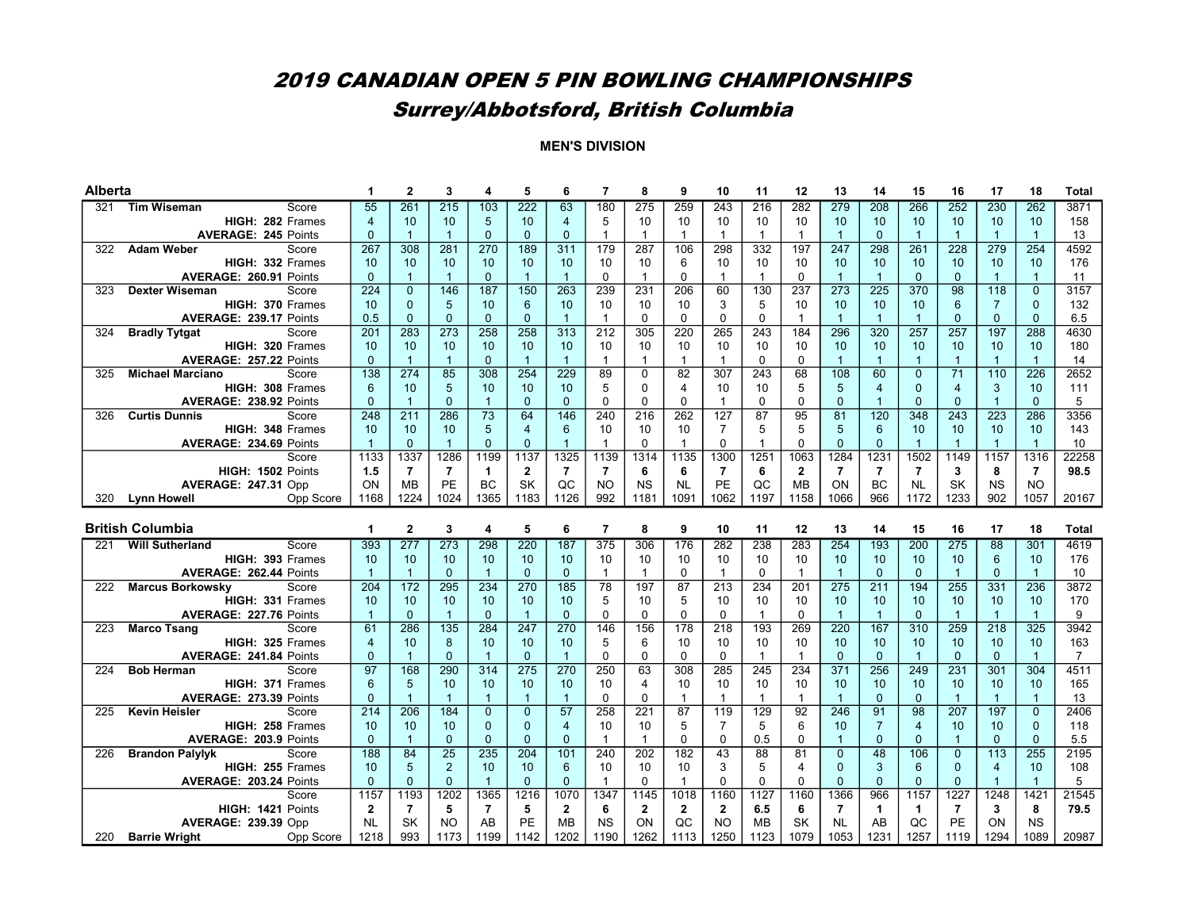# Surrey/Abbotsford, British Columbia

| Alberta |                                                         |                      | $\mathbf{2}$        | 3                  |                      | 5                    | 6                    | $\overline{7}$    | 8            | 9                  | 10               | 11                 | 12                   | 13                   | 14                 | 15                 | 16                   | 17                 | 18                   | <b>Total</b>          |
|---------|---------------------------------------------------------|----------------------|---------------------|--------------------|----------------------|----------------------|----------------------|-------------------|--------------|--------------------|------------------|--------------------|----------------------|----------------------|--------------------|--------------------|----------------------|--------------------|----------------------|-----------------------|
| 321     | <b>Tim Wiseman</b><br>Score                             | 55                   | 261                 | 215                | 103                  | $\overline{222}$     | 63                   | 180               | 275          | 259                | 243              | 216                | 282                  | 279                  | 208                | 266                | 252                  | 230                | 262                  | 3871                  |
|         | HIGH: 282 Frames                                        | $\overline{4}$       | 10                  | 10                 | 5                    | 10                   | $\overline{4}$       | 5                 | 10           | 10                 | 10               | 10                 | 10                   | 10                   | 10                 | 10                 | 10                   | 10                 | 10                   | 158                   |
|         | <b>AVERAGE: 245 Points</b>                              | $\Omega$             | $\mathbf{1}$        | $\overline{1}$     | $\Omega$             | $\Omega$             | $\Omega$             | $\overline{1}$    | $\mathbf{1}$ | $\mathbf{1}$       | $\mathbf{1}$     | $\mathbf{1}$       | $\overline{1}$       | $\overline{1}$       | $\Omega$           | $\overline{1}$     | $\overline{1}$       | $\mathbf{1}$       | $\mathbf{1}$         | 13                    |
| 322     | <b>Adam Weber</b><br>Score                              | 267                  | 308                 | 281                | 270                  | 189                  | 311                  | 179               | 287          | 106                | 298              | 332                | 197                  | 247                  | 298                | 261                | 228                  | 279                | 254                  | 4592                  |
|         | HIGH: 332 Frames                                        | 10                   | 10                  | 10                 | 10                   | 10                   | 10                   | 10                | 10           | 6                  | 10               | 10                 | 10                   | 10                   | 10                 | 10                 | 10                   | 10                 | 10                   | 176                   |
|         | AVERAGE: 260.91 Points                                  | $\mathbf{0}$         | $\mathbf{1}$        | $\mathbf{1}$       | $\mathbf{0}$         | $\overline{1}$       | $\overline{1}$       | $\mathbf 0$       | $\mathbf{1}$ | $\mathbf 0$        | $\mathbf{1}$     | $\mathbf{1}$       | $\mathbf 0$          | $\overline{1}$       | $\overline{1}$     | $\mathbf 0$        | $\mathbf{0}$         | $\mathbf{1}$       | $\mathbf{1}$         | 11                    |
| 323     | <b>Dexter Wiseman</b><br>Score                          | 224                  | $\mathbf{0}$        | 146                | 187                  | 150                  | 263                  | 239               | 231          | 206                | 60               | 130                | 237                  | 273                  | 225                | 370                | 98                   | 118                | $\overline{0}$       | 3157                  |
|         | HIGH: 370 Frames                                        | 10                   | $\mathbf{0}$        | 5                  | 10                   | 6                    | 10                   | 10                | 10           | 10                 | 3                | 5                  | 10                   | 10                   | 10                 | 10                 | $6\phantom{1}$       | $\overline{7}$     | $\mathbf{0}$         | 132                   |
|         | <b>AVERAGE: 239.17 Points</b>                           | 0.5                  | $\Omega$            | $\Omega$           | $\Omega$             | $\Omega$             | $\overline{1}$       | $\overline{1}$    | $\Omega$     | $\mathbf 0$        | $\Omega$         | $\mathbf 0$        | $\overline{1}$       | $\overline{1}$       | $\overline{1}$     | $\overline{1}$     | $\Omega$             | $\Omega$           | $\mathbf{0}$         | 6.5                   |
| 324     | <b>Bradly Tytgat</b><br>Score                           | 201                  | 283                 | 273                | 258                  | 258                  | 313                  | $\overline{212}$  | 305          | 220                | 265              | 243                | 184                  | 296                  | 320                | 257                | 257                  | 197                | 288                  | 4630                  |
|         | HIGH: 320 Frames                                        | 10                   | 10                  | 10                 | 10                   | 10                   | 10                   | 10                | 10           | 10                 | 10               | 10                 | 10                   | 10                   | 10                 | 10                 | 10                   | 10                 | 10                   | 180                   |
|         | AVERAGE: 257.22 Points                                  | $\Omega$             | $\mathbf{1}$        | $\mathbf{1}$       | $\Omega$             | $\overline{1}$       | $\overline{1}$       | $\mathbf{1}$      | $\mathbf 1$  | $\mathbf{1}$       | $\mathbf{1}$     | $\mathbf 0$        | 0                    | $\mathbf{1}$         | $\overline{1}$     | $\overline{1}$     | $\mathbf{1}$         | $\mathbf{1}$       | $\mathbf{1}$         | 14                    |
| 325     | <b>Michael Marciano</b><br>Score                        | 138                  | 274                 | $\overline{85}$    | $\overline{308}$     | 254                  | $\overline{229}$     | 89                | $\mathbf 0$  | 82                 | $\overline{307}$ | $\overline{243}$   | 68                   | 108                  | 60                 | $\overline{0}$     | $\overline{71}$      | 110                | 226                  | 2652                  |
|         | HIGH: 308 Frames                                        | 6                    | 10                  | 5                  | 10                   | 10                   | 10                   | 5                 | $\Omega$     | $\overline{4}$     | 10               | 10                 | 5                    | 5                    | $\overline{4}$     | $\Omega$           | $\overline{4}$       | 3                  | 10                   | 111                   |
|         | AVERAGE: 238.92 Points                                  | $\mathbf{0}$         | $\overline{1}$      | $\Omega$           | $\overline{1}$       | $\mathbf{0}$         | $\mathbf{0}$         | $\mathbf 0$       | $\Omega$     | $\Omega$           | $\mathbf{1}$     | $\mathbf 0$        | 0                    | $\mathbf{0}$         | $\overline{1}$     | $\Omega$           | $\mathbf{0}$         | $\mathbf{1}$       | $\mathbf{0}$         | 5                     |
| 326     | <b>Curtis Dunnis</b><br>Score                           | 248                  | 211                 | 286                | 73                   | 64                   | 146                  | 240               | 216          | 262                | 127              | 87                 | 95                   | 81                   | 120                | 348                | 243                  | $\overline{223}$   | 286                  | 3356                  |
|         | HIGH: 348 Frames                                        | 10                   | 10                  | 10                 | 5                    | $\overline{4}$       | $6\phantom{1}$       | 10                | 10           | 10                 | $\overline{7}$   | 5                  | 5                    | 5                    | 6                  | 10                 | 10                   | 10                 | 10                   | 143                   |
|         | AVERAGE: 234.69 Points                                  | $\overline{1}$       | $\mathbf{0}$        | $\mathbf{1}$       | $\Omega$             | $\mathbf{0}$         | $\overline{1}$       | $\mathbf{1}$      | $\mathbf 0$  | $\mathbf{1}$       | $\Omega$         | $\mathbf{1}$       | 0                    | $\mathbf{0}$         | $\mathbf{0}$       | $\overline{1}$     | $\overline{1}$       | $\mathbf{1}$       | $\overline{1}$       | 10                    |
|         | Score                                                   | 1133                 | 1337                | 1286               | 1199                 | 1137                 | 1325                 | 1139              | 1314         | 1135               | 1300             | 1251               | 1063                 | 1284                 | 1231               | 1502               | 1149                 | 1157               | 1316                 | 22258                 |
|         | HIGH: 1502 Points                                       | 1.5                  | $\overline{7}$      | $\overline{7}$     | $\mathbf 1$          | $\mathbf{2}$         | $\overline{7}$       | $\overline{7}$    | 6            | 6                  | $\overline{7}$   | 6                  | $\mathbf{2}$         | $\overline{7}$       | $\overline{7}$     | $\overline{7}$     | 3                    | 8                  | $\overline{7}$       | 98.5                  |
|         | <b>AVERAGE: 247.31 Opp</b>                              | ON                   | <b>MB</b>           | PE                 | BC                   | <b>SK</b>            | QC                   | NO                | <b>NS</b>    | <b>NL</b>          | PE               | QC                 | <b>MB</b>            | ON                   | BC                 | <b>NL</b>          | SK                   | <b>NS</b>          | <b>NO</b>            |                       |
| 320     | <b>Lynn Howell</b><br>Opp Score                         | 1168                 | 1224                | 1024               | 1365                 | 1183                 | 1126                 | 992               | 1181         | 1091               | 1062             | 1197               | 1158                 | 1066                 | 966                | 1172               | 1233                 | 902                | 1057                 | 20167                 |
|         |                                                         |                      |                     |                    |                      |                      |                      |                   |              |                    |                  |                    |                      |                      |                    |                    |                      |                    |                      |                       |
|         |                                                         |                      |                     |                    |                      |                      |                      |                   |              |                    |                  |                    |                      |                      |                    |                    |                      |                    |                      |                       |
|         | <b>British Columbia</b>                                 | $\blacktriangleleft$ | $\mathbf{2}$        | 3                  | 4                    | 5                    | 6                    | $\overline{7}$    | 8            | 9                  | 10               | 11                 | 12                   | 13                   | 14                 | 15                 | 16                   | 17                 | 18                   | <b>Total</b>          |
| 221     | <b>Will Sutherland</b><br>Score                         | 393                  | 277                 | 273                | 298                  | 220                  | 187                  | 375               | 306          | 176                | 282              | 238                | 283                  | 254                  | 193                | 200                | 275                  | 88                 | 301                  | 4619                  |
|         | HIGH: 393 Frames                                        | 10                   | 10                  | 10                 | 10                   | 10                   | 10                   | 10                | 10           | 10                 | 10               | 10                 | 10                   | 10                   | 10                 | 10                 | 10                   | 6                  | 10                   | 176                   |
|         | AVERAGE: 262.44 Points                                  | $\overline{1}$       | $\mathbf{1}$        | $\overline{0}$     | $\overline{1}$       | $\mathbf{0}$         | $\mathbf 0$          | $\mathbf{1}$      | $\mathbf{1}$ | $\mathbf 0$        | $\mathbf{1}$     | $\mathbf 0$        | $\mathbf{1}$         | $\overline{1}$       | $\mathbf{0}$       | $\mathbf 0$        | $\overline{1}$       | $\mathbf{0}$       | $\overline{1}$       | 10                    |
| 222     | <b>Marcus Borkowsky</b><br>Score                        | 204                  | 172                 | 295                | 234                  | 270                  | 185                  | 78                | 197          | 87                 | 213              | 234                | 201                  | 275                  | 211                | 194                | 255                  | 331                | 236                  | 3872                  |
|         | HIGH: 331 Frames                                        | 10                   | 10                  | 10                 | 10                   | 10                   | 10                   | 5                 | 10           | 5                  | 10               | 10                 | 10                   | 10                   | 10                 | 10                 | 10                   | 10                 | 10                   | 170                   |
|         | AVERAGE: 227.76 Points                                  | $\mathbf{1}$         | $\Omega$            | $\mathbf{1}$       | $\Omega$             | $\overline{1}$       | $\Omega$             | $\mathbf 0$       | $\Omega$     | $\Omega$           | $\Omega$         | $\mathbf{1}$       | $\Omega$             | $\overline{1}$       | $\overline{1}$     | $\Omega$           | $\overline{1}$       | $\overline{1}$     | $\overline{1}$       | 9                     |
| 223     | <b>Marco Tsang</b><br>Score                             | 61                   | 286                 | 135                | 284                  | 247                  | 270                  | 146               | 156          | 178                | 218              | 193                | 269                  | 220                  | 167                | 310                | 259                  | $\overline{218}$   | 325                  | 3942                  |
|         | HIGH: 325 Frames                                        | $\overline{4}$       | 10                  | 8                  | 10<br>$\overline{1}$ | 10                   | 10                   | 5                 | 6            | 10                 | 10<br>$\Omega$   | 10                 | 10<br>$\overline{1}$ | 10                   | 10                 | 10                 | 10                   | 10                 | 10                   | 163<br>$\overline{7}$ |
|         | AVERAGE: 241.84 Points                                  | $\Omega$             | $\mathbf{1}$        | $\Omega$           |                      | $\Omega$             | $\overline{1}$       | $\Omega$          | $\Omega$     | $\mathbf 0$        |                  | $\mathbf{1}$       |                      | $\Omega$             | $\Omega$           | $\overline{1}$     | $\mathbf{0}$         | $\Omega$           | $\overline{1}$       |                       |
| 224     | <b>Bob Herman</b><br>Score                              | 97                   | 168                 | 290                | 314                  | 275                  | 270                  | 250               | 63<br>4      | 308                | 285<br>10        | 245                | 234                  | 371                  | 256                | 249                | 231                  | 301                | 304                  | 4511                  |
|         | <b>HIGH: 371 Frames</b>                                 | 6<br>$\Omega$        | 5<br>$\overline{1}$ | 10<br>$\mathbf{1}$ | 10<br>$\overline{1}$ | 10<br>$\overline{1}$ | 10<br>$\overline{1}$ | 10<br>$\mathbf 0$ | $\Omega$     | 10<br>$\mathbf{1}$ | $\mathbf{1}$     | 10<br>$\mathbf{1}$ | 10<br>$\overline{1}$ | 10<br>$\overline{1}$ | 10<br>$\mathbf{0}$ | 10<br>$\mathbf{0}$ | 10<br>$\overline{1}$ | 10<br>$\mathbf{1}$ | 10<br>$\overline{1}$ | 165                   |
| 225     | AVERAGE: 273.39 Points<br><b>Kevin Heisler</b><br>Score | 214                  | 206                 | 184                | $\overline{0}$       | $\Omega$             | 57                   | 258               | 221          | 87                 | 119              | 129                | 92                   | 246                  | 91                 | 98                 | 207                  | 197                | $\overline{0}$       | 13<br>2406            |
|         | HIGH: 258 Frames                                        | 10                   | 10                  | 10                 | $\Omega$             | $\mathbf{0}$         | $\overline{4}$       | 10                | 10           | 5                  | $\overline{7}$   | 5                  | 6                    | 10                   | $\overline{7}$     | $\overline{4}$     | 10                   | 10                 | $\mathbf{0}$         | 118                   |
|         | AVERAGE: 203.9 Points                                   | $\Omega$             | $\overline{1}$      | $\Omega$           | $\Omega$             | $\Omega$             | $\Omega$             | $\mathbf{1}$      | $\mathbf{1}$ | $\mathbf 0$        | $\Omega$         | 0.5                | 0                    | $\overline{1}$       | $\mathbf{0}$       | $\Omega$           | $\overline{1}$       | $\Omega$           | $\mathbf{0}$         | 5.5                   |
| 226     | <b>Brandon Palylyk</b><br>Score                         | 188                  | 84                  | $\overline{25}$    | 235                  | 204                  | 101                  | 240               | 202          | 182                | 43               | 88                 | 81                   | $\Omega$             | 48                 | 106                | $\overline{0}$       | 113                | 255                  | 2195                  |
|         | HIGH: 255 Frames                                        | 10 <sup>1</sup>      | 5                   | $\overline{2}$     | 10                   | 10                   | 6                    | 10                | 10           | 10                 | 3                | 5                  | 4                    | $\Omega$             | 3                  | 6                  | $\mathbf{0}$         | $\overline{4}$     | 10                   | 108                   |
|         | <b>AVERAGE: 203.24 Points</b>                           | $\Omega$             | $\mathbf{0}$        | $\Omega$           | $\mathbf{1}$         | $\Omega$             | $\Omega$             | $\overline{1}$    | $\Omega$     | $\mathbf{1}$       | $\Omega$         | $\Omega$           | 0                    | $\Omega$             | $\Omega$           | $\Omega$           | $\Omega$             | $\mathbf{1}$       | $\overline{1}$       | 5                     |
|         | Score                                                   | 1157                 | 1193                | 1202               | 1365                 | 1216                 | 1070                 | 1347              | 1145         | 1018               | 1160             | 1127               | 1160                 | 1366                 | 966                | 1157               | 1227                 | 1248               | 1421                 | 21545                 |
|         | HIGH: 1421 Points                                       | $\mathbf{2}$         | $\overline{7}$      | 5                  | $\overline{7}$       | 5                    | $\overline{2}$       | 6                 | $\mathbf{2}$ | $\mathbf{2}$       | $\mathbf{2}$     | 6.5                | 6                    | $\overline{7}$       | $\mathbf{1}$       | $\mathbf{1}$       | $\overline{7}$       | 3                  | 8                    | 79.5                  |
|         | <b>AVERAGE: 239.39 Opp</b>                              | <b>NL</b>            | SK                  | <b>NO</b>          | AB                   | <b>PE</b>            | <b>MB</b>            | <b>NS</b>         | ON           | QC                 | <b>NO</b>        | <b>MB</b>          | <b>SK</b>            | <b>NL</b>            | AB<br>1231         | QC                 | PE                   | ON                 | <b>NS</b>            |                       |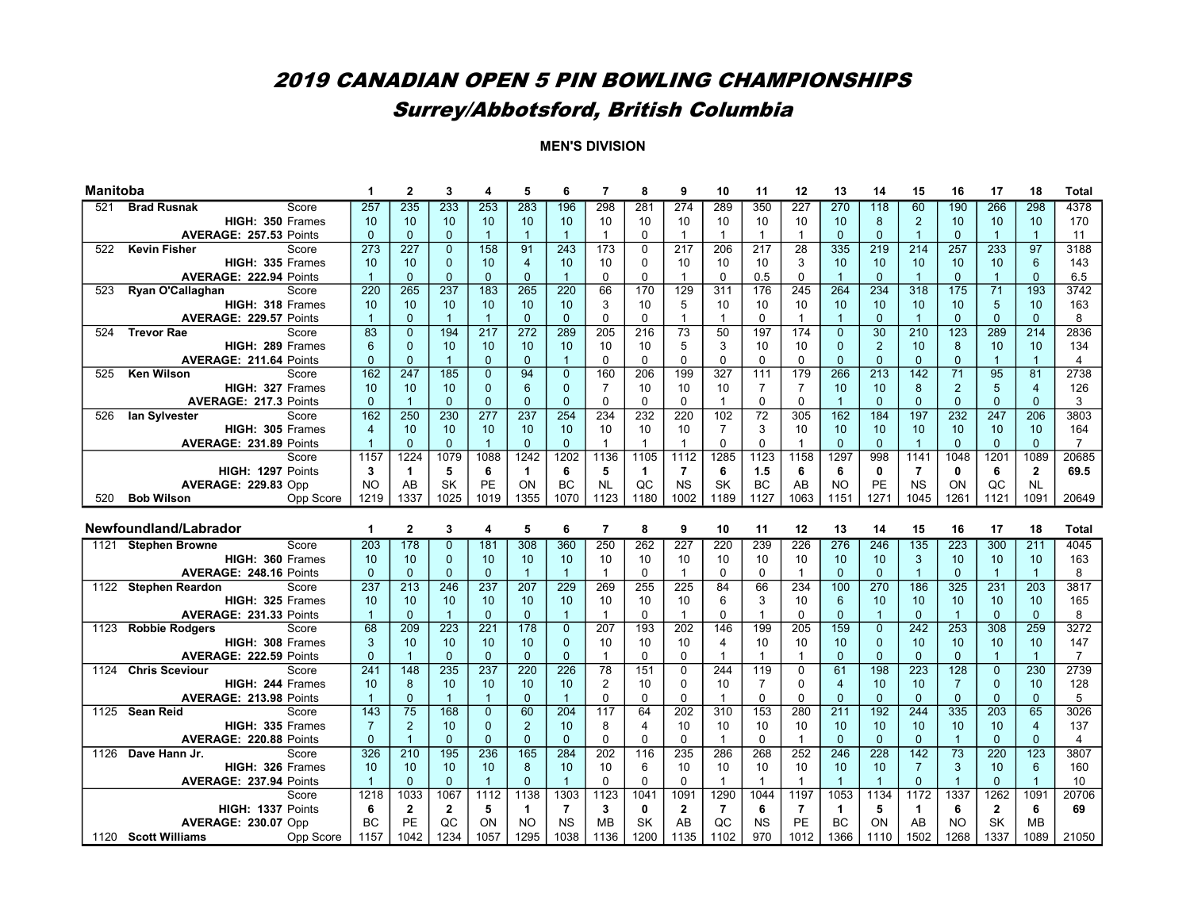# Surrey/Abbotsford, British Columbia

| <b>Manitoba</b> |                                                        | 1                 | $\mathbf{2}$          | 3                | 4                                | 5                                | 6                    | $\overline{7}$             | 8              | 9                             | 10             | 11               | 12               | 13                   | 14                   | 15                               | 16                               | 17                             | 18                  | <b>Total</b>           |
|-----------------|--------------------------------------------------------|-------------------|-----------------------|------------------|----------------------------------|----------------------------------|----------------------|----------------------------|----------------|-------------------------------|----------------|------------------|------------------|----------------------|----------------------|----------------------------------|----------------------------------|--------------------------------|---------------------|------------------------|
| 521             | <b>Brad Rusnak</b><br>Score                            | 257               | 235                   | 233              | 253                              | 283                              | 196                  | 298                        | 281            | 274                           | 289            | 350              | $\overline{227}$ | 270                  | 118                  | 60                               | 190                              | 266                            | 298                 | 4378                   |
|                 | HIGH: 350 Frames                                       | 10                | 10                    | 10               | 10                               | 10                               | 10                   | 10                         | 10             | 10                            | 10             | 10               | 10               | 10                   | 8                    | 2                                | 10                               | 10                             | 10                  | 170                    |
|                 | AVERAGE: 257.53 Points                                 | $\Omega$          | $\mathbf{0}$          | $\Omega$         | $\mathbf{1}$                     | $\overline{1}$                   | $\overline{1}$       | $\overline{1}$             | $\Omega$       | $\overline{1}$                | $\mathbf{1}$   | $\overline{1}$   | 1                | $\Omega$             | $\overline{0}$       | $\overline{1}$                   | $\Omega$                         | $\mathbf{1}$                   | $\overline{1}$      | 11                     |
| 522             | <b>Kevin Fisher</b><br>Score                           | 273               | 227                   | $\overline{0}$   | 158                              | 91                               | 243                  | 173                        | $\Omega$       | $\overline{217}$              | 206            | $\overline{217}$ | 28               | 335                  | 219                  | 214                              | 257                              | 233                            | 97                  | 3188                   |
|                 | HIGH: 335 Frames                                       | 10                | 10                    | $\overline{0}$   | 10                               | $\overline{4}$                   | 10                   | 10                         | $\Omega$       | 10                            | 10             | 10               | 3                | 10                   | 10                   | 10                               | 10                               | 10                             | 6                   | 143                    |
|                 | AVERAGE: 222.94 Points                                 | $\overline{1}$    | $\mathbf 0$           | $\overline{0}$   | $\mathbf{0}$                     | $\mathbf{0}$                     | $\overline{1}$       | $\mathbf 0$                | $\Omega$       | $\mathbf{1}$                  | $\Omega$       | 0.5              | $\Omega$         | $\overline{1}$       | $\Omega$             | $\overline{1}$                   | $\mathbf{0}$                     | $\mathbf{1}$                   | $\mathbf{0}$        | 6.5                    |
| 523             | Ryan O'Callaghan<br>Score                              | 220               | 265                   | $\overline{237}$ | 183                              | 265                              | 220                  | 66                         | 170            | 129                           | 311            | 176              | 245              | 264                  | 234                  | 318                              | 175                              | 71                             | 193                 | 3742                   |
|                 | HIGH: 318 Frames                                       | 10                | 10                    | 10               | 10                               | 10                               | 10                   | 3                          | 10             | 5                             | 10             | 10               | 10               | 10                   | 10                   | 10                               | 10                               | 5                              | 10                  | 163                    |
|                 | AVERAGE: 229.57 Points                                 | $\mathbf{1}$      | $\mathbf 0$           | $\mathbf{1}$     | $\overline{1}$                   | $\mathbf{0}$                     | $\Omega$             | $\mathbf 0$                | $\mathbf 0$    | $\overline{1}$                | $\mathbf{1}$   | 0                | $\mathbf{1}$     | $\overline{1}$       | $\mathbf{0}$         | $\overline{1}$                   | $\mathbf{0}$                     | $\Omega$                       | $\mathbf{0}$        | 8                      |
| 524             | <b>Trevor Rae</b><br>Score                             | 83                | $\Omega$              | 194              | $\overline{217}$                 | 272                              | 289                  | $\overline{205}$           | 216            | 73                            | 50             | 197              | 174              | $\mathbf{0}$         | 30                   | 210                              | $\overline{123}$                 | 289                            | $\overline{214}$    | 2836                   |
|                 | HIGH: 289 Frames                                       | 6                 | $\mathbf 0$           | 10               | 10                               | 10                               | 10                   | 10                         | 10             | 5                             | 3              | 10               | 10               | $\mathbf{0}$         | $\overline{2}$       | 10                               | 8                                | 10                             | 10                  | 134                    |
|                 | AVERAGE: 211.64 Points                                 | $\Omega$          | $\mathbf{0}$          | $\mathbf{1}$     | $\mathbf{0}$                     | $\mathbf{0}$                     | $\overline{1}$       | $\mathbf 0$                | $\Omega$       | $\mathbf 0$                   | $\Omega$       | $\mathbf 0$      | $\Omega$         | $\overline{0}$       | $\mathbf{0}$         | $\mathbf{0}$                     | $\mathbf{0}$                     | $\mathbf{1}$                   | $\mathbf{1}$        | 4                      |
| 525             | <b>Ken Wilson</b><br>Score                             | 162               | 247                   | 185              | $\overline{0}$                   | 94                               | $\overline{0}$       | 160                        | 206            | 199                           | 327            | 111              | 179              | 266                  | 213                  | 142                              | $\overline{71}$                  | 95                             | $\overline{81}$     | 2738                   |
|                 | HIGH: 327 Frames                                       | 10                | 10                    | 10               | $\mathbf{0}$                     | 6                                | $\mathbf{0}$         | $\overline{7}$             | 10             | 10                            | 10             | $\overline{7}$   | $\overline{7}$   | 10                   | 10                   | 8                                | $\overline{2}$                   | 5                              | $\overline{4}$      | 126                    |
|                 | <b>AVERAGE: 217.3 Points</b>                           | $\Omega$          | $\overline{1}$        | $\Omega$         | $\Omega$                         | $\Omega$                         | $\Omega$             | $\Omega$                   | $\Omega$       | $\mathbf{0}$                  | $\mathbf{1}$   | $\mathbf 0$      | $\Omega$         | $\overline{1}$       | $\Omega$             | $\Omega$                         | $\Omega$                         | $\Omega$                       | $\Omega$            | 3                      |
| 526             | Score<br>lan Sylvester                                 | 162               | 250                   | 230              | 277                              | 237                              | 254                  | 234                        | 232            | 220                           | 102            | $\overline{72}$  | 305              | 162                  | 184                  | 197                              | 232                              | 247                            | 206                 | 3803                   |
|                 | HIGH: 305 Frames                                       | $\overline{4}$    | 10                    | 10               | 10                               | 10                               | 10                   | 10                         | 10             | 10                            | $\overline{7}$ | 3                | 10               | 10                   | 10                   | 10                               | 10                               | 10                             | 10                  | 164                    |
|                 | <b>AVERAGE: 231.89 Points</b>                          | $\mathbf{1}$      | $\Omega$              | $\Omega$         | $\mathbf{1}$                     | $\Omega$                         | $\Omega$             | $\mathbf{1}$               | $\mathbf{1}$   | $\mathbf{1}$                  | $\Omega$       | $\Omega$         | $\mathbf{1}$     | $\Omega$             | $\Omega$             | $\overline{1}$                   | $\Omega$                         | $\Omega$                       | $\Omega$            | $\overline{7}$         |
|                 | Score                                                  | 1157              | 1224                  | 1079             | 1088                             | 1242                             | 1202                 | 1136                       | 1105           | 1112                          | 1285           | 1123             | 1158             | 1297                 | 998                  | 1141                             | 1048                             | 1201                           | 1089                | 20685                  |
|                 | HIGH: 1297 Points                                      | 3                 | $\mathbf{1}$          | 5                | 6                                | $\mathbf 1$                      | 6                    | 5                          | 1              | $\overline{7}$                | 6              | 1.5              | 6                | 6                    | $\mathbf 0$          | $\overline{7}$                   | 0                                | 6                              | $\mathbf{2}$        | 69.5                   |
|                 | <b>AVERAGE: 229.83 Opp</b>                             | <b>NO</b>         | AB                    | SK               | PE                               | ON                               | <b>BC</b>            | <b>NL</b>                  | QC             | <b>NS</b>                     | SK             | <b>BC</b>        | AB               | <b>NO</b>            | PE                   | <b>NS</b>                        | ON                               | QC                             | <b>NL</b>           |                        |
| 520             | <b>Bob Wilson</b><br>Opp Score                         | 1219              | 1337                  | 1025             | 1019                             | 1355                             | 1070                 | 1123                       | 1180           | 1002                          | 1189           | 1127             | 1063             | 1151                 | 1271                 | 1045                             | 1261                             | 1121                           | 1091                | 20649                  |
|                 |                                                        |                   |                       |                  |                                  |                                  |                      |                            |                |                               |                |                  |                  |                      |                      |                                  |                                  |                                |                     |                        |
|                 |                                                        |                   |                       |                  |                                  |                                  |                      |                            |                |                               |                |                  |                  |                      |                      |                                  |                                  |                                |                     |                        |
|                 | Newfoundland/Labrador                                  | 1                 | $\overline{2}$        | 3                | 4                                | 5                                | 6                    | $\overline{7}$             | 8              | 9                             | 10             | 11               | 12               | 13                   | 14                   | 15                               | 16                               | 17                             | 18                  | <b>Total</b>           |
|                 | 1121 Stephen Browne<br>Score                           | 203               | 178                   | $\mathbf{0}$     | 181                              | 308                              | 360                  | 250                        | 262            | 227                           | 220            | 239              | $\overline{226}$ | 276                  | 246                  | $\overline{135}$                 | 223                              | 300                            | 211                 | 4045                   |
|                 | HIGH: 360 Frames                                       | 10                | 10                    | $\Omega$         | 10                               | 10                               | 10                   | 10                         | 10             | 10                            | 10             | 10               | 10               | 10                   | 10                   | 3                                | 10                               | 10                             | 10                  | 163                    |
|                 | AVERAGE: 248.16 Points                                 | $\mathbf{0}$      | $\mathbf{0}$          | $\overline{0}$   | $\mathbf{0}$                     | $\overline{1}$                   | $\overline{1}$       | $\overline{1}$             | $\mathbf 0$    | $\mathbf{1}$                  | $\mathbf 0$    | $\mathbf 0$      | $\overline{1}$   | $\mathbf{0}$         | $\mathbf{0}$         | $\overline{1}$                   | $\mathbf{0}$                     | $\mathbf{1}$                   | $\overline{1}$      | 8                      |
|                 | 1122 Stephen Reardon<br>Score                          | 237               | 213                   | 246              | 237                              | 207                              | 229                  | 269                        | 255            | 225                           | 84             | 66               | 234              | 100                  | 270                  | 186                              | 325                              | 231                            | $\overline{203}$    | 3817                   |
|                 | HIGH: 325 Frames                                       | 10                | 10                    | 10               | 10                               | 10                               | 10                   | 10                         | 10             | 10                            | 6              | 3                | 10               | $6\phantom{1}6$      | 10                   | 10                               | 10                               | 10                             | 10                  | 165                    |
|                 | AVERAGE: 231.33 Points                                 | $\overline{1}$    | $\mathbf{0}$          | $\overline{1}$   | $\mathbf{0}$                     | $\mathbf{0}$                     | $\overline{1}$       | $\overline{1}$             | $\mathbf 0$    | $\mathbf{1}$                  | $\Omega$       | $\mathbf{1}$     | 0                | $\mathbf{0}$         | $\overline{1}$       | $\mathbf{0}$                     | $\overline{1}$                   | $\Omega$                       | $\mathbf{0}$        | 8                      |
| 1123            | Score<br><b>Robbie Rodgers</b>                         | 68                | 209                   | 223              | 221                              | 178                              | $\Omega$<br>$\Omega$ | 207                        | 193            | 202                           | 146            | 199              | 205              | 159                  | $\Omega$<br>$\Omega$ | 242                              | 253                              | 308                            | 259                 | 3272                   |
|                 | HIGH: 308 Frames                                       | 3<br>$\Omega$     | 10                    | 10<br>$\Omega$   | 10                               | 10                               | $\Omega$             | 10<br>$\overline{1}$       | 10<br>$\Omega$ | 10                            | 4              | 10<br>1          | 10<br>1          | 10                   | $\Omega$             | 10                               | 10                               | 10                             | 10                  | 147                    |
|                 | AVERAGE: 222.59 Points<br>1124 Chris Sceviour<br>Score | 241               | $\overline{1}$<br>148 | 235              | $\mathbf{0}$<br>$\overline{237}$ | $\mathbf{0}$<br>$\overline{220}$ | $\overline{226}$     | 78                         | 151            | $\mathbf 0$<br>$\overline{0}$ | 244            | 119              | $\overline{0}$   | $\mathbf{0}$<br>61   | 198                  | $\mathbf{0}$<br>$\overline{223}$ | $\mathbf{0}$<br>$\overline{128}$ | $\mathbf{1}$<br>$\overline{0}$ | $\mathbf{1}$<br>230 | $\overline{7}$<br>2739 |
|                 | HIGH: 244 Frames                                       | 10                | 8                     | 10               | 10                               | 10                               | 10                   |                            | 10             | $\mathbf 0$                   | 10             | $\overline{7}$   | $\Omega$         | $\overline{4}$       | 10                   | 10                               | $\overline{7}$                   | $\mathbf{0}$                   | 10                  | 128                    |
|                 | AVERAGE: 213.98 Points                                 | $\mathbf{1}$      | $\mathbf{0}$          | $\mathbf{1}$     | $\overline{1}$                   | $\Omega$                         | $\overline{1}$       | $\overline{c}$<br>$\Omega$ | $\Omega$       | $\Omega$                      | $\mathbf{1}$   | $\Omega$         | $\Omega$         | $\Omega$             | $\Omega$             | $\Omega$                         | $\Omega$                         | $\Omega$                       | $\Omega$            | 5                      |
|                 | 1125 Sean Reid<br>Score                                | 143               | $\overline{75}$       | 168              | $\overline{0}$                   | 60                               | 204                  | 117                        | 64             | 202                           | 310            | 153              | 280              | 211                  | 192                  | 244                              | 335                              | 203                            | 65                  | 3026                   |
|                 | HIGH: 335 Frames                                       | $\overline{7}$    | 2                     | 10               | $\mathbf{0}$                     | $\overline{2}$                   | 10                   | 8                          | 4              | 10                            | 10             | 10               | 10               | 10                   | 10                   | 10                               | 10                               | 10                             | $\overline{4}$      | 137                    |
|                 | <b>AVERAGE: 220.88 Points</b>                          | $\Omega$          | $\overline{1}$        | $\Omega$         | $\Omega$                         | $\Omega$                         | $\Omega$             | $\Omega$                   | $\Omega$       | $\Omega$                      | $\mathbf{1}$   | $\Omega$         | $\mathbf{1}$     | $\mathbf{0}$         | $\Omega$             | $\Omega$                         | $\overline{1}$                   | $\Omega$                       | $\Omega$            | $\overline{4}$         |
| 1126            | Dave Hann Jr.<br>Score                                 | 326               | 210                   | 195              | 236                              | 165                              | 284                  | 202                        | 116            | 235                           | 286            | 268              | 252              | 246                  | 228                  | 142                              | $\overline{73}$                  | 220                            | 123                 | 3807                   |
|                 | HIGH: 326 Frames                                       | 10                | 10                    | 10               | 10                               | 8                                | 10                   | 10                         | 6              | 10                            | 10             | 10               | 10               | 10                   | 10                   | $\overline{7}$                   | 3                                | 10                             | 6                   | 160                    |
|                 | AVERAGE: 237.94 Points                                 | $\mathbf{1}$      | $\mathbf{0}$          | $\overline{0}$   | $\overline{1}$                   | $\Omega$                         | $\overline{1}$       | $\Omega$                   | $\Omega$       | $\mathbf 0$                   |                | $\overline{1}$   | $\mathbf 1$      | $\overline{1}$       | $\overline{1}$       | $\Omega$                         | $\overline{1}$                   | $\Omega$                       | $\mathbf{1}$        | 10                     |
|                 | Score                                                  | 1218              | 1033                  | 1067             | 1112                             | 1138                             | 1303                 | 1123                       | 1041           | 1091                          | 1290           | 1044             | 1197             | 1053                 | 1134                 | 1172                             | 1337                             | 1262                           | 1091                | 20706                  |
|                 | HIGH: 1337 Points                                      | 6                 | $\overline{2}$        | $\mathbf{2}$     | 5                                | $\mathbf 1$                      | $\overline{7}$       | 3                          | $\mathbf{0}$   | $\overline{2}$                | $\overline{7}$ | 6                | $\overline{7}$   | $\blacktriangleleft$ | 5                    | $\blacktriangleleft$             | 6                                | $\overline{2}$                 | 6                   | 69                     |
|                 | <b>AVERAGE: 230.07 Opp</b><br>1120 Scott Williams      | <b>BC</b><br>1157 | PE<br>1042            | QC<br>1234       | ON<br>1057                       | <b>NO</b><br>1295                | <b>NS</b><br>1038    | <b>MB</b><br>1136          | SK<br>1200     | AB<br>1135                    | QC<br>1102     | <b>NS</b><br>970 | PE<br>1012       | <b>BC</b><br>1366    | ON<br>1110           | AB<br>1502                       | <b>NO</b><br>1268                | <b>SK</b><br>1337              | <b>MB</b><br>1089   | 21050                  |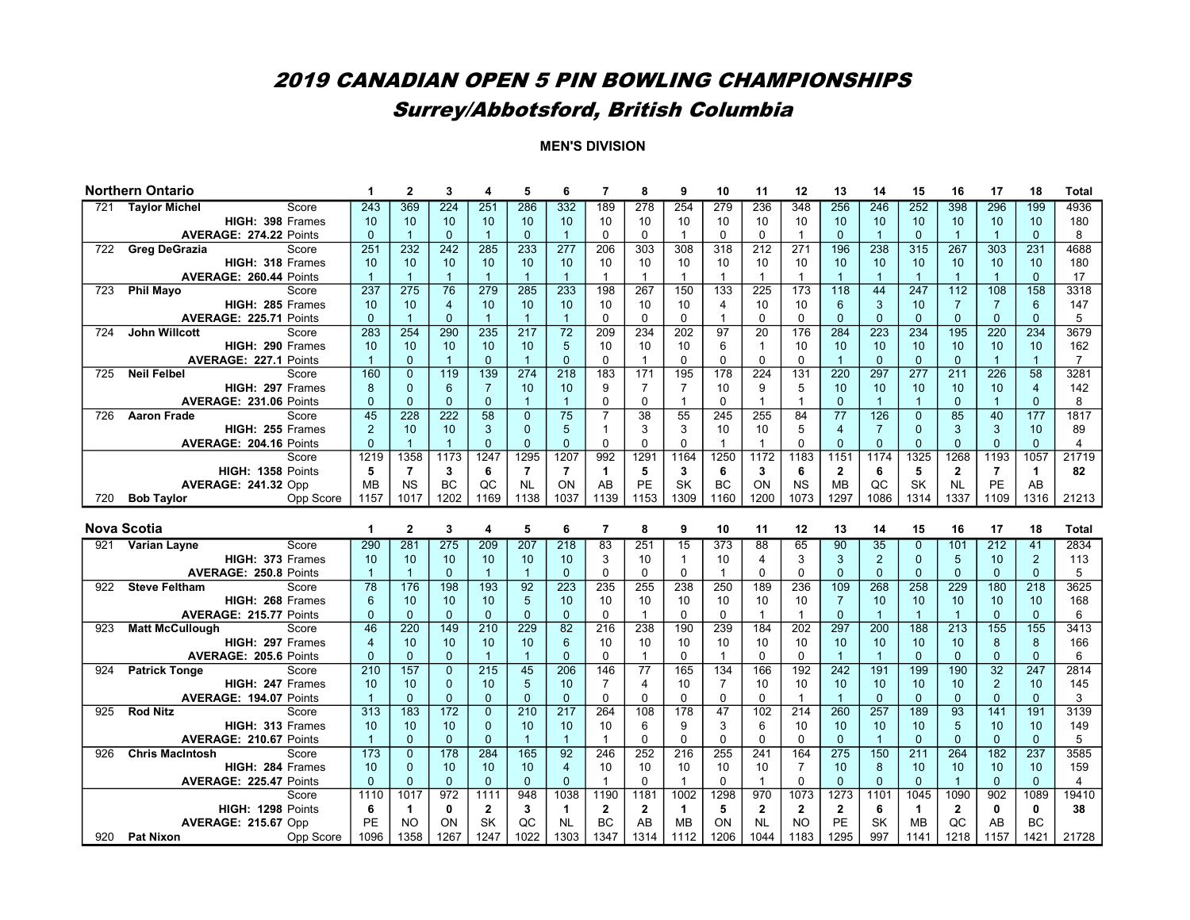# Surrey/Abbotsford, British Columbia

|     | <b>Northern Ontario</b>                                  | 1              | $\mathbf{2}$         | 3              | 4                         | 5               | 6                        | $\overline{7}$              | 8                    | 9                         | 10              | 11                          | 12                        | 13                   | 14              | 15             | 16               | 17             | 18                        | <b>Total</b>   |
|-----|----------------------------------------------------------|----------------|----------------------|----------------|---------------------------|-----------------|--------------------------|-----------------------------|----------------------|---------------------------|-----------------|-----------------------------|---------------------------|----------------------|-----------------|----------------|------------------|----------------|---------------------------|----------------|
| 721 | <b>Taylor Michel</b><br>Score                            | 243            | 369                  | 224            | 251                       | 286             | 332                      | 189                         | 278                  | 254                       | 279             | 236                         | 348                       | 256                  | 246             | 252            | 398              | 296            | 199                       | 4936           |
|     | HIGH: 398 Frames                                         | 10             | 10                   | 10             | 10                        | 10              | 10                       | 10                          | 10                   | 10                        | 10              | 10                          | 10                        | 10                   | 10              | 10             | 10               | 10             | 10                        | 180            |
|     | AVERAGE: 274.22 Points                                   | $\Omega$       | $\overline{1}$       | $\Omega$       | $\overline{1}$            | $\Omega$        | $\overline{1}$           | $\mathbf 0$                 | $\Omega$             |                           | $\Omega$        | $\mathbf 0$                 | 1                         | $\mathbf{0}$         | $\overline{1}$  | $\mathbf{0}$   | $\overline{1}$   | $\mathbf{1}$   | $\Omega$                  | 8              |
| 722 | <b>Greg DeGrazia</b><br>Score                            | 251            | 232                  | 242            | 285                       | 233             | 277                      | 206                         | $\overline{303}$     | $\overline{308}$          | 318             | $\overline{212}$            | $\overline{271}$          | 196                  | 238             | 315            | 267              | 303            | 231                       | 4688           |
|     | HIGH: 318 Frames                                         | 10             | 10                   | 10             | 10                        | 10              | 10                       | 10                          | 10                   | 10                        | 10              | 10                          | 10                        | 10                   | 10              | 10             | 10               | 10             | 10                        | 180            |
|     | <b>AVERAGE: 260.44 Points</b>                            | $\overline{1}$ | $\overline{1}$       | $\mathbf{1}$   | $\overline{1}$            | $\overline{1}$  | $\overline{1}$           | $\overline{1}$              | $\mathbf{1}$         | $\mathbf{1}$              | $\mathbf{1}$    | $\mathbf{1}$                | $\mathbf{1}$              | $\overline{1}$       | $\overline{1}$  | $\mathbf{1}$   | $\overline{1}$   | $\mathbf{1}$   | $\mathbf{0}$              | 17             |
| 723 | <b>Phil Mayo</b><br>Score                                | 237            | $\overline{275}$     | 76             | 279                       | 285             | 233                      | 198                         | 267                  | 150                       | 133             | $\overline{225}$            | 173                       | 118                  | 44              | 247            | $\overline{112}$ | 108            | 158                       | 3318           |
|     | HIGH: 285 Frames                                         | 10             | 10                   | $\overline{4}$ | 10                        | 10              | 10                       | 10                          | 10                   | 10                        | 4               | 10                          | 10                        | $6\phantom{1}6$      | 3               | 10             | $\overline{7}$   | $\overline{7}$ | $6\phantom{1}$            | 147            |
|     | <b>AVERAGE: 225.71 Points</b>                            | $\Omega$       | $\overline{1}$       | $\overline{0}$ | $\mathbf{1}$              | $\overline{1}$  | $\overline{1}$           | $\Omega$                    | $\Omega$             | $\mathbf{0}$              | $\mathbf{1}$    | $\Omega$                    | $\Omega$                  | $\Omega$             | $\Omega$        | $\Omega$       | $\Omega$         | $\Omega$       | $\Omega$                  | 5              |
| 724 | <b>John Willcott</b><br>Score                            | 283            | 254                  | 290            | 235                       | 217             | $\overline{72}$          | 209                         | 234                  | 202                       | $\overline{97}$ | $\overline{20}$             | 176                       | 284                  | 223             | 234            | 195              | 220            | 234                       | 3679           |
|     | HIGH: 290 Frames                                         | 10             | 10                   | 10             | 10                        | 10              | 5                        | 10                          | 10                   | 10                        | 6               | $\mathbf{1}$                | 10                        | 10                   | 10              | 10             | 10               | 10             | 10                        | 162            |
|     | <b>AVERAGE: 227.1 Points</b>                             | $\mathbf{1}$   | $\mathbf{0}$         | $\mathbf{1}$   | $\Omega$                  | $\overline{1}$  | $\Omega$                 | $\Omega$                    | $\mathbf{1}$         | $\mathbf{0}$              | $\Omega$        | $\Omega$                    | $\mathbf{0}$              | $\overline{1}$       | $\Omega$        | $\Omega$       | $\Omega$         | $\mathbf{1}$   | $\mathbf{1}$              | $\overline{7}$ |
| 725 | <b>Neil Felbel</b><br>Score                              | 160            | $\overline{0}$       | 119            | 139                       | 274             | 218                      | 183                         | 171                  | 195                       | 178             | 224                         | $\overline{131}$          | 220                  | 297             | 277            | 211              | 226            | $\overline{58}$           | 3281           |
|     | HIGH: 297 Frames                                         | 8              | $\mathbf{0}$         | 6              | $\overline{7}$            | 10              | 10                       | 9                           | $\overline{7}$       | $\overline{7}$            | 10              | 9                           | 5                         | 10                   | 10              | 10             | 10               | 10             | $\overline{4}$            | 142            |
|     | AVERAGE: 231.06 Points                                   | $\Omega$       | $\mathbf 0$          | $\overline{0}$ | $\mathbf{0}$              | $\overline{1}$  | $\overline{1}$           | $\mathbf 0$                 | $\Omega$             | $\mathbf{1}$              | $\Omega$        | $\overline{1}$              | $\overline{1}$            | $\Omega$             | $\overline{1}$  | $\overline{1}$ | $\mathbf{0}$     | $\overline{1}$ | $\mathbf{0}$              | 8              |
| 726 | <b>Aaron Frade</b><br>Score                              | 45             | $\overline{228}$     | 222            | $\overline{58}$           | $\overline{0}$  | $\overline{75}$          | 7                           | 38                   | 55                        | 245             | 255                         | 84                        | $\overline{77}$      | 126             | $\mathbf{0}$   | 85               | 40             | 177                       | 1817           |
|     | HIGH: 255 Frames                                         | $\overline{2}$ | 10                   | 10             | 3                         | $\Omega$        | 5                        | $\overline{1}$              | 3                    | 3                         | 10              | 10                          | 5                         | $\overline{4}$       | $\overline{7}$  | $\Omega$       | 3                | 3              | 10                        | 89             |
|     | <b>AVERAGE: 204.16 Points</b>                            | $\Omega$       | $\overline{1}$       | $\mathbf{1}$   | $\Omega$                  | $\Omega$        | $\Omega$                 | $\mathbf 0$                 | $\Omega$             | $\mathbf 0$               |                 | 1                           | $\Omega$                  | $\Omega$             | $\mathbf{0}$    | $\Omega$       | $\mathbf{0}$     | $\Omega$       | $\mathbf{0}$              | $\overline{4}$ |
|     | Score                                                    | 1219           | 1358                 | 1173           | 1247                      | 1295            | 1207                     | 992                         | 1291                 | 1164                      | 1250            | 1172                        | 1183                      | 1151                 | 1174            | 1325           | 1268             | 1193           | 1057                      | 21719          |
|     | HIGH: 1358 Points                                        | 5              | $\overline{7}$       | 3              | 6                         | $\overline{7}$  | $\overline{7}$           | $\mathbf{1}$                | 5                    | 3                         | 6               | 3                           | 6                         | $\overline{2}$       | 6               | 5              | $\mathbf 2$      | $\overline{7}$ | $\mathbf{1}$              | 82             |
|     | <b>AVERAGE: 241.32 Opp</b>                               | <b>MB</b>      | <b>NS</b>            | BC             | QC                        | <b>NL</b>       | ON                       | AB                          | PE                   | <b>SK</b>                 | <b>BC</b>       | <b>ON</b>                   | <b>NS</b>                 | <b>MB</b>            | QC              | <b>SK</b>      | <b>NL</b>        | PE             | AB                        |                |
| 720 | <b>Bob Taylor</b><br>Opp Score                           | 1157           | 1017                 | 1202           | 1169                      | 1138            | 1037                     | 1139                        | 1153                 | 1309                      | 1160            | 1200                        | 1073                      | 1297                 | 1086            | 1314           | 1337             | 1109           | 1316                      | 21213          |
|     |                                                          |                |                      |                |                           |                 |                          |                             |                      |                           |                 |                             |                           |                      |                 |                |                  |                |                           |                |
|     |                                                          |                |                      |                |                           |                 |                          |                             |                      |                           |                 |                             |                           |                      |                 |                |                  |                |                           |                |
|     | <b>Nova Scotia</b>                                       | 1              | $\overline{2}$       | 3              | 4                         | 5               | 6                        | $\overline{7}$              | 8                    | 9                         | 10              | 11                          | 12                        | 13                   | 14              | 15             | 16               | 17             | 18                        | <b>Total</b>   |
|     | Score<br>921 Varian Layne                                | 290            | 281                  | 275            | 209                       | 207             | 218                      | 83                          | 251                  | $\overline{15}$           | 373             | 88                          | 65                        | 90                   | $\overline{35}$ | $\mathbf{0}$   | 101              | 212            | 41                        | 2834           |
|     | HIGH: 373 Frames                                         | 10             | 10                   | 10             | 10                        | 10              | 10                       | 3                           | 10                   | $\mathbf{1}$              | 10              | 4                           | 3                         | $\mathbf{3}$         | $\overline{2}$  | $\mathbf{0}$   | $\overline{5}$   | 10             | $\overline{2}$            | 113            |
|     | AVERAGE: 250.8 Points                                    | $\mathbf{1}$   | $\overline{1}$       | $\Omega$       | $\overline{1}$            | $\overline{1}$  | $\Omega$                 | $\mathbf 0$                 | $\Omega$             | $\mathbf 0$               | $\mathbf{1}$    | $\mathbf 0$                 | $\Omega$                  | $\overline{0}$       | $\Omega$        | $\Omega$       | $\Omega$         | $\Omega$       | $\Omega$                  | 5              |
| 922 | <b>Steve Feltham</b><br>Score                            | 78             | 176                  | 198            | 193                       | 92              | 223                      | 235                         | 255                  | 238                       | 250             | 189                         | 236                       | 109                  | 268             | 258            | 229              | 180            | 218                       | 3625           |
|     | HIGH: 268 Frames                                         | 6              | 10                   | 10             | 10                        | 5               | 10                       | 10                          | 10                   | 10                        | 10              | 10                          | 10                        | $\overline{7}$       | 10              | 10             | 10               | 10             | 10                        | 168            |
|     | AVERAGE: 215.77 Points                                   | $\Omega$       | $\Omega$             | $\overline{0}$ | $\mathbf{0}$              | $\Omega$        | $\Omega$                 | $\mathbf 0$                 | $\mathbf{1}$         | $\Omega$                  | $\Omega$        | $\mathbf{1}$                | $\overline{1}$            | $\Omega$             | $\overline{1}$  | $\overline{1}$ | $\overline{1}$   | $\Omega$       | $\mathbf{0}$              | 6              |
| 923 | <b>Matt McCullough</b><br>Score                          | 46             | 220                  | 149            | 210                       | 229             | 82                       | 216                         | 238                  | 190                       | 239             | 184                         | 202                       | 297                  | 200             | 188            | $\overline{213}$ | 155            | 155                       | 3413           |
|     | HIGH: 297 Frames                                         | $\overline{4}$ | 10                   | 10             | 10                        | 10              | 6                        | 10                          | 10                   | 10                        | 10              | 10                          | 10                        | 10                   | 10              | 10             | 10               | 8              | 8                         | 166            |
|     | AVERAGE: 205.6 Points                                    | $\Omega$       | $\mathbf{0}$         | $\overline{0}$ | $\overline{1}$            | $\overline{1}$  | $\Omega$                 | $\mathbf 0$                 | $\mathbf{1}$         | $\mathbf 0$               |                 | $\mathbf 0$                 | $\Omega$                  | $\overline{1}$       | $\overline{1}$  | $\mathbf{0}$   | $\mathbf{0}$     | $\mathbf{0}$   | $\mathbf{0}$              | 6              |
| 924 | <b>Patrick Tonge</b><br>Score                            | 210            | 157                  | $\overline{0}$ | $\overline{215}$          | 45              | 206                      | 146                         | 77                   | 165                       | 134             | 166                         | 192                       | 242                  | 191             | 199            | 190              | 32             | 247                       | 2814           |
|     | HIGH: 247 Frames                                         | 10             | 10                   | $\overline{0}$ | 10                        | 5               | 10                       | $\overline{7}$              | $\overline{4}$       | 10                        | $\overline{7}$  | 10                          | 10                        | 10                   | 10              | 10             | 10               | $\overline{2}$ | 10                        | 145            |
|     | AVERAGE: 194.07 Points                                   | $\mathbf{1}$   | $\mathbf{0}$         | $\Omega$       | $\mathbf{0}$              | $\mathbf{0}$    | $\mathbf{0}$             | $\mathbf 0$                 | $\Omega$             | $\mathbf 0$               | $\Omega$        | $\mathbf 0$                 | $\overline{1}$            | $\overline{1}$       | $\Omega$        | $\mathbf{0}$   | $\mathbf 0$      | $\mathbf{0}$   | $\mathbf{0}$              | 3              |
| 925 | <b>Rod Nitz</b><br>Score                                 | 313            | 183                  | 172            | $\Omega$                  | 210             | 217                      | 264                         | 108                  | 178                       | 47              | 102                         | 214                       | 260                  | 257             | 189            | 93               | 141            | 191                       | 3139           |
|     | HIGH: 313 Frames                                         | 10             | 10                   | 10             | $\mathbf{0}$              | 10              | 10                       | 10                          | 6                    | 9                         | 3               | 6                           | 10                        | 10                   | 10              | 10             | $\overline{5}$   | 10             | 10                        | 149            |
|     | <b>AVERAGE: 210.67 Points</b>                            | $\mathbf{1}$   | $\Omega$             | $\Omega$       | $\Omega$                  | $\overline{1}$  | $\overline{1}$           | $\overline{1}$              | $\Omega$             | $\Omega$                  | $\Omega$        | $\Omega$                    | $\Omega$                  | $\Omega$             | $\overline{1}$  | $\Omega$       | $\Omega$         | $\Omega$       | $\Omega$                  | 5              |
| 926 | <b>Chris MacIntosh</b><br>Score                          | 173            | $\mathbf{0}$         | 178            | 284                       | 165             | 92                       | 246                         | 252                  | 216                       | 255             | 241                         | 164                       | 275                  | 150             | 211            | 264              | 182            | 237                       | 3585           |
|     | HIGH: 284 Frames                                         | 10             | $\mathbf 0$          | 10             | 10                        | 10 <sup>1</sup> | $\overline{4}$           | 10                          | 10                   | 10                        | 10              | 10                          | $\overline{7}$            | 10                   | 8               | 10             | 10               | 10             | 10                        | 159            |
|     | AVERAGE: 225.47 Points                                   | $\Omega$       | $\mathbf{0}$         | $\Omega$       | $\mathbf{0}$              | $\Omega$        | $\Omega$                 | $\overline{1}$              | $\Omega$             | $\mathbf{1}$              | $\Omega$        | $\mathbf{1}$                | $\Omega$                  | $\Omega$             | $\Omega$        | $\Omega$       | $\overline{1}$   | $\Omega$       | $\mathbf{0}$              | 4              |
|     | Score                                                    | 1110           | 1017                 | 972<br>0       | 1111                      | 948             | 1038                     | 1190                        | 1181                 | 1002                      | 1298            | 970                         | 1073                      | 1273                 | 1101            | 1045           | 1090             | 902            | 1089                      | 19410          |
|     | HIGH: 1298 Points                                        | 6<br>PE        | $\blacktriangleleft$ | ON             | $\mathbf{2}$<br><b>SK</b> | 3<br>QC         | $\mathbf 1$<br><b>NL</b> | $\overline{2}$<br><b>BC</b> | $\overline{2}$<br>AB | $\mathbf{1}$<br><b>MB</b> | 5<br>ON         | $\overline{2}$<br><b>NL</b> | $\mathbf{2}$<br><b>NO</b> | $\overline{2}$<br>PE | 6<br><b>SK</b>  | 1<br><b>MB</b> | $\mathbf{2}$     | 0<br>AB        | $\mathbf{0}$<br><b>BC</b> | 38             |
|     |                                                          |                |                      |                |                           |                 |                          |                             |                      |                           |                 |                             |                           |                      |                 |                |                  |                |                           |                |
|     |                                                          |                |                      |                |                           |                 |                          |                             |                      |                           |                 |                             |                           |                      |                 |                |                  |                |                           |                |
|     | <b>AVERAGE: 215.67 Opp</b><br>920 Pat Nixon<br>Opp Score | 1096           | <b>NO</b><br>1358    | 1267           | 1247                      | 1022            | 1303                     | 1347                        | 1314                 | 1112                      | 1206            | 1044                        | 1183                      | 1295                 | 997             | 1141           | QC<br>1218       | 1157           | 1421                      | 21728          |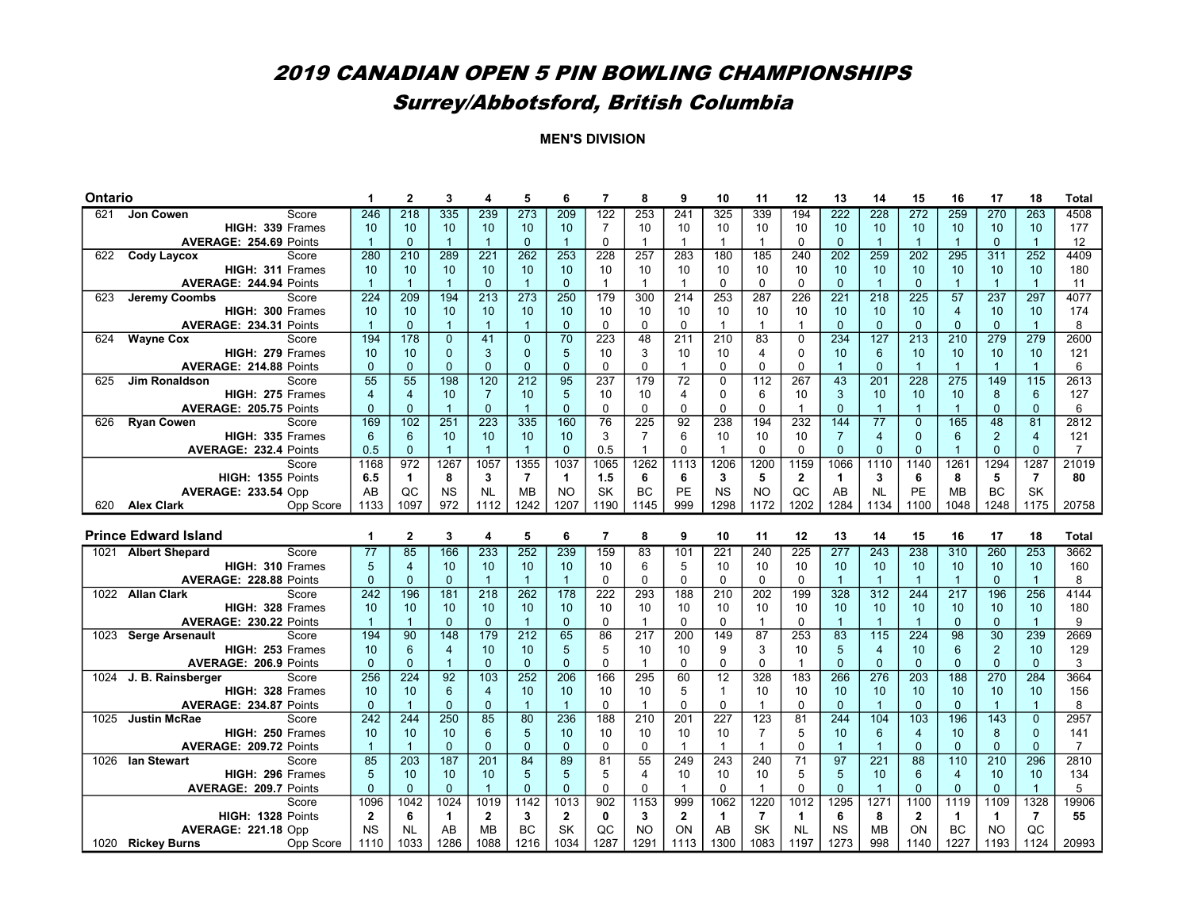# 2019 CANADIAN OPEN 5 PIN BOWLING CHAMPIONSHIPS Surrey/Abbotsford, British Columbia

| Ontario |                                                              |                   | $\mathbf{2}$          | 3                     |                        | 5                    | 6              | $\overline{7}$ | 8                 | 9                | 10                 | 11                | 12                | 13                   | 14                   | 15               | 16                     | 17                                | 18             | <b>Total</b>   |
|---------|--------------------------------------------------------------|-------------------|-----------------------|-----------------------|------------------------|----------------------|----------------|----------------|-------------------|------------------|--------------------|-------------------|-------------------|----------------------|----------------------|------------------|------------------------|-----------------------------------|----------------|----------------|
| 621     | Score<br>Jon Cowen                                           | 246               | $\overline{218}$      | 335                   | 239                    | 273                  | 209            | 122            | 253               | 241              | 325                | 339               | 194               | 222                  | 228                  | 272              | 259                    | 270                               | 263            | 4508           |
|         | HIGH: 339 Frames                                             | 10                | 10                    | 10 <sup>1</sup>       | 10                     | 10                   | 10             | $\overline{7}$ | 10                | 10               | 10                 | 10                | 10                | 10                   | 10                   | 10               | 10                     | 10                                | 10             | 177            |
|         | AVERAGE: 254.69 Points                                       | $\mathbf{1}$      | $\Omega$              | $\mathbf{1}$          | $\mathbf{1}$           | $\Omega$             | $\overline{1}$ | $\mathbf 0$    | $\mathbf{1}$      | $\mathbf{1}$     | $\mathbf{1}$       | $\mathbf{1}$      | $\Omega$          | $\Omega$             | $\mathbf{1}$         | $\overline{1}$   | $\overline{1}$         | $\Omega$                          | $\overline{1}$ | 12             |
| 622     | <b>Cody Laycox</b><br>Score                                  | 280               | 210                   | 289                   | 221                    | 262                  | 253            | 228            | 257               | 283              | 180                | 185               | 240               | $\overline{202}$     | 259                  | $\overline{202}$ | 295                    | 311                               | 252            | 4409           |
|         | HIGH: 311 Frames                                             | 10                | 10                    | 10 <sup>1</sup>       | 10                     | 10                   | 10             | 10             | 10                | 10               | 10                 | 10                | 10                | 10                   | 10                   | 10               | 10 <sup>1</sup>        | 10                                | 10             | 180            |
|         | AVERAGE: 244.94 Points                                       | $\mathbf{1}$      | $\overline{1}$        | $\mathbf{1}$          | $\mathbf{0}$           | $\overline{1}$       | $\mathbf{0}$   | $\overline{1}$ | $\mathbf{1}$      | $\mathbf{1}$     | $\mathbf 0$        | $\mathbf 0$       | $\mathbf 0$       | $\mathbf{0}$         | $\overline{1}$       | $\mathbf{0}$     | $\overline{1}$         | $\mathbf{1}$                      | $\overline{1}$ | 11             |
| 623     | Jeremy Coombs<br>Score                                       | 224               | $\overline{209}$      | 194                   | $\overline{213}$       | $\overline{273}$     | 250            | 179            | 300               | $\overline{214}$ | 253                | 287               | $\overline{226}$  | $\overline{221}$     | 218                  | $\overline{225}$ | 57                     | 237                               | 297            | 4077           |
|         | HIGH: 300 Frames                                             | 10                | 10                    | 10 <sup>1</sup>       | 10                     | 10                   | 10             | 10             | 10                | 10               | 10                 | 10                | 10                | 10                   | 10                   | 10               | $\overline{4}$         | 10                                | 10             | 174            |
|         | AVERAGE: 234.31 Points                                       | $\overline{1}$    | $\Omega$              | $\mathbf{1}$          | $\overline{1}$         | $\overline{1}$       | $\Omega$       | $\Omega$       | $\Omega$          | $\Omega$         | $\mathbf{1}$       | $\mathbf 1$       | $\overline{1}$    | $\Omega$             | $\Omega$             | $\Omega$         | $\Omega$               | $\Omega$                          | $\overline{1}$ | 8              |
| 624     | <b>Wayne Cox</b><br>Score                                    | 194               | 178                   | $\overline{0}$        | 41                     | $\overline{0}$       | 70             | 223            | 48                | 211              | 210                | 83                | $\Omega$          | 234                  | 127                  | 213              | 210                    | 279                               | 279            | 2600           |
|         | HIGH: 279 Frames                                             | 10                | 10                    | $\Omega$              | 3                      | $\Omega$             | 5              | 10             | 3                 | 10               | 10                 | 4                 | $\Omega$          | 10                   | 6                    | 10               | 10 <sup>1</sup>        | 10                                | 10             | 121            |
|         | AVERAGE: 214.88 Points                                       | $\overline{0}$    | $\overline{0}$        | $\overline{0}$        | $\overline{0}$         | $\Omega$             | $\mathbf{0}$   | $\mathbf 0$    | $\Omega$          | $\mathbf{1}$     | $\Omega$           | $\mathbf 0$       | $\Omega$          | $\overline{1}$       | $\Omega$             | $\mathbf{1}$     | $\overline{1}$         | $\mathbf{1}$                      | $\overline{1}$ | 6              |
| 625     | <b>Jim Ronaldson</b><br>Score                                | 55                | $\overline{55}$       | 198                   | 120                    | 212                  | 95             | 237            | 179               | 72               | 0                  | 112               | 267               | 43                   | 201                  | 228              | 275                    | 149                               | 115            | 2613           |
|         | HIGH: 275 Frames                                             | $\overline{4}$    | $\overline{4}$        | 10 <sup>1</sup>       | $\overline{7}$         | 10                   | 5              | 10             | 10                | 4                | $\mathbf 0$        | 6                 | 10                | 3                    | 10                   | 10               | 10                     | 8                                 | 6              | 127            |
|         | AVERAGE: 205.75 Points                                       | $\mathbf{0}$      | $\mathbf{0}$          | $\mathbf{1}$          | $\mathbf{0}$           | $\overline{1}$       | $\Omega$       | $\mathbf 0$    | $\mathbf 0$       | $\mathbf 0$      | $\Omega$           | $\mathbf 0$       | $\mathbf{1}$      | $\mathbf{0}$         | $\overline{1}$       | $\overline{1}$   | $\overline{1}$         | $\mathbf{0}$                      | $\mathbf{0}$   | 6              |
| 626     | Score<br><b>Ryan Cowen</b>                                   | 169               | 102                   | 251                   | $\overline{223}$       | $\frac{1}{335}$      | 160            | 76             | $\overline{225}$  | 92               | 238                | 194               | 232               | 144                  | 77                   | $\Omega$         | 165                    | 48                                | 81             | 2812           |
|         | HIGH: 335 Frames                                             | 6                 | 6                     | 10 <sup>1</sup>       | 10                     | 10                   | 10             | 3              | $\overline{7}$    | 6                | 10                 | 10                | 10                | $\overline{7}$       | $\overline{4}$       | $\Omega$         | 6                      | $\overline{2}$                    | $\overline{4}$ | 121            |
|         | <b>AVERAGE: 232.4 Points</b>                                 | 0.5               | $\mathbf{0}$          | $\mathbf{1}$          | $\overline{1}$         | $\overline{1}$       | $\Omega$       | 0.5            | $\mathbf{1}$      | $\mathbf 0$      | $\mathbf{1}$       | $\mathbf 0$       | $\Omega$          | $\mathbf{0}$         | 0                    | $\mathbf{0}$     | $\overline{1}$         | $\Omega$                          | $\mathbf{0}$   | $\overline{7}$ |
|         | Score                                                        | 1168              | 972                   | 1267                  | 1057                   | 1355                 | 1037           | 1065           | 1262              | 1113             | 1206               | 1200              | 1159              | 1066                 | 1110                 | 1140             | 1261                   | 1294                              | 1287           | 21019          |
|         | HIGH: 1355 Points                                            | 6.5               | $\mathbf{1}$          | 8                     | 3                      | $\overline{7}$       | $\mathbf{1}$   | 1.5            | 6                 | 6                | 3                  | 5                 | $\mathbf 2$       | $\mathbf 1$          | 3                    | 6                | 8                      | 5                                 | $\overline{7}$ | 80             |
|         | <b>AVERAGE: 233.54 Opp</b>                                   | AB                | QC                    | <b>NS</b>             | <b>NL</b>              | <b>MB</b>            | <b>NO</b>      | <b>SK</b>      | <b>BC</b>         | PE               | <b>NS</b>          | <b>NO</b>         | QC                | AB                   | <b>NL</b>            | PE               | <b>MB</b>              | <b>BC</b>                         | <b>SK</b>      |                |
| 620     | <b>Alex Clark</b><br>Opp Score                               | 1133              | 1097                  | 972                   | 1112                   | 1242                 | 1207           | 1190           | 1145              | 999              | 1298               | 1172              | 1202              | 1284                 | 1134                 | 1100             | 1048                   | 1248                              | 1175           | 20758          |
|         |                                                              |                   |                       |                       |                        |                      |                |                |                   |                  |                    |                   |                   |                      |                      |                  |                        |                                   |                |                |
|         |                                                              |                   |                       |                       |                        |                      |                |                |                   |                  |                    |                   |                   |                      |                      |                  |                        |                                   |                |                |
|         | <b>Prince Edward Island</b>                                  | 1                 | $\overline{2}$        | 3                     | 4                      | 5                    | 6              | $\overline{7}$ | 8                 | 9                | 10                 | 11                | 12                | 13                   | 14                   | 15               | 16                     | 17                                | 18             | <b>Total</b>   |
| 1021    | <b>Albert Shepard</b><br>Score                               | 77                | 85                    | 166                   | 233                    | 252                  | 239            | 159            | 83                | 101              | 221                | 240               | $\overline{225}$  | 277                  | 243                  | 238              | 310                    | 260                               | 253            | 3662           |
|         | HIGH: 310 Frames                                             | 5                 | $\overline{4}$        | 10 <sup>1</sup>       | 10                     | 10                   | 10             | 10             | 6                 | 5                | 10                 | 10                | 10                | 10                   | 10                   | 10               | 10                     | 10                                | 10             | 160            |
|         | AVERAGE: 228.88 Points                                       | $\overline{0}$    | $\overline{0}$        | $\overline{0}$        | $\overline{1}$         | $\overline{1}$       | $\overline{1}$ | $\mathbf 0$    | $\mathbf 0$       | $\mathbf 0$      | $\mathbf 0$        | $\mathbf 0$       | $\mathbf 0$       | $\overline{1}$       | $\overline{1}$       | $\mathbf{1}$     | $\overline{1}$         | $\mathbf{0}$                      | $\overline{1}$ | 8              |
|         | 1022 Allan Clark<br>Score                                    | 242               | 196                   | 181                   | $\overline{218}$       | $\overline{262}$     | 178            | 222            | 293               | 188              | 210                | 202               | 199               | 328                  | 312                  | 244              | $\overline{217}$       | 196                               | 256            | 4144           |
|         | HIGH: 328 Frames                                             | 10                | 10<br>$\overline{1}$  | 10 <sup>1</sup>       | 10                     | 10<br>$\overline{1}$ | 10             | 10             | 10                | 10               | 10                 | 10                | 10                | 10<br>$\overline{1}$ | 10<br>$\overline{1}$ | 10               | 10                     | 10                                | 10             | 180            |
|         | AVERAGE: 230.22 Points                                       | $\overline{1}$    |                       | $\Omega$              | $\Omega$               |                      | $\Omega$       | $\mathbf 0$    | $\mathbf{1}$      | $\Omega$         | $\Omega$           | $\mathbf{1}$      | $\Omega$          |                      |                      | $\overline{1}$   | $\Omega$               | $\Omega$                          | $\overline{1}$ | 9              |
| 1023    | Score<br><b>Serge Arsenault</b><br>HIGH: 253 Frames          | 194<br>10         | 90<br>$6\phantom{1}6$ | 148<br>$\overline{4}$ | $\overline{179}$<br>10 | 212<br>10            | 65<br>5        | 86<br>5        | 217<br>10         | 200<br>10        | 149<br>9           | 87<br>3           | 253<br>10         | 83<br>5              | 115<br>4             | 224<br>10        | 98<br>6                | $\overline{30}$<br>$\overline{2}$ | 239<br>10      | 2669<br>129    |
|         | <b>AVERAGE: 206.9 Points</b>                                 | $\Omega$          | $\mathbf{0}$          | $\overline{1}$        | $\Omega$               | $\Omega$             | $\Omega$       | $\mathbf 0$    | $\mathbf{1}$      | $\mathbf 0$      | $\Omega$           | $\mathbf 0$       | $\mathbf{1}$      | $\Omega$             | $\overline{0}$       | $\Omega$         | $\overline{0}$         | $\Omega$                          | $\mathbf{0}$   | 3              |
|         | Score                                                        | 256               | 224                   |                       |                        |                      |                |                |                   |                  |                    | 328               |                   |                      |                      |                  |                        |                                   |                |                |
|         | 1024 J. B. Rainsberger<br><b>HIGH: 328 Frames</b>            | 10                | 10                    | 92<br>6               | 103<br>$\overline{4}$  | 252<br>10            | 206<br>10      | 166<br>10      | 295<br>10         | 60<br>5          | 12<br>$\mathbf{1}$ | 10                | 183<br>10         | 266<br>10            | 276<br>10            | 203<br>10        | 188<br>10 <sup>°</sup> | 270<br>10                         | 284<br>10      | 3664<br>156    |
|         | AVERAGE: 234.87 Points                                       | $\Omega$          | $\overline{1}$        | $\Omega$              | $\mathbf{0}$           | $\overline{1}$       | $\overline{1}$ | $\mathbf 0$    | $\mathbf{1}$      | $\mathbf 0$      | $\Omega$           | $\mathbf{1}$      | $\Omega$          | $\mathbf{0}$         | $\overline{1}$       | $\mathbf{0}$     | $\mathbf{0}$           | $\mathbf{1}$                      | $\mathbf{1}$   | 8              |
| 1025    | <b>Justin McRae</b><br>Score                                 | 242               | 244                   | 250                   | 85                     | 80                   | 236            | 188            | 210               | 201              | 227                | 123               | 81                | 244                  | 104                  | 103              | 196                    | 143                               | $\Omega$       | 2957           |
|         | HIGH: 250 Frames                                             | 10                | 10                    | 10                    | $6\phantom{1}6$        | 5                    | 10             | 10             | 10                | 10               | 10                 | $\overline{7}$    | 5                 | 10                   | 6                    | $\overline{4}$   | 10                     | 8                                 | $\overline{0}$ | 141            |
|         | AVERAGE: 209.72 Points                                       | $\overline{1}$    | $\mathbf{1}$          | $\Omega$              | $\Omega$               | $\Omega$             | $\Omega$       | $\mathbf 0$    | $\Omega$          | $\mathbf{1}$     | $\mathbf{1}$       | $\mathbf{1}$      | $\Omega$          | $\overline{1}$       | $\overline{1}$       | $\mathbf{0}$     | $\Omega$               | $\Omega$                          | $\overline{0}$ | $\overline{7}$ |
| 1026    | <b>Ian Stewart</b><br>Score                                  | 85                | 203                   | 187                   | $\overline{201}$       | 84                   | 89             | 81             | 55                | 249              | 243                | 240               | 71                | 97                   | 221                  | 88               | 110                    | 210                               | 296            | 2810           |
|         | HIGH: 296 Frames                                             | 5                 | 10                    | 10 <sup>1</sup>       | 10                     | 5                    | 5              | 5              | $\overline{4}$    | 10               | 10                 | 10                | 5                 | 5                    | 10                   | $6\phantom{1}6$  | $\overline{4}$         | 10                                | 10             | 134            |
|         | <b>AVERAGE: 209.7 Points</b>                                 | $\Omega$          | $\mathbf{0}$          | $\Omega$              | $\mathbf{1}$           | $\Omega$             | $\Omega$       | $\mathbf 0$    | $\Omega$          | $\mathbf{1}$     | $\Omega$           | $\mathbf{1}$      | $\Omega$          | $\Omega$             | $\overline{1}$       | $\Omega$         | $\mathbf{0}$           | $\Omega$                          | $\overline{1}$ | 5              |
|         | Score                                                        | 1096              | 1042                  | 1024                  | 1019                   | 1142                 | 1013           | 902            | 1153              | 999              | 1062               | 1220              | 1012              | 1295                 | 1271                 | 1100             | 1119                   | 1109                              | 1328           | 19906          |
|         | HIGH: 1328 Points                                            | $\mathbf{2}$      | 6                     | 1                     | $\mathbf{2}$           | 3                    | $\mathbf{2}$   | 0              | 3                 | $\mathbf{2}$     | 1                  | $\overline{7}$    | 1                 | 6                    | 8                    | $\mathbf{2}$     | $\mathbf{1}$           | $\mathbf 1$                       | $\overline{7}$ | 55             |
|         | <b>AVERAGE: 221.18 Opp</b><br>1020 Rickey Burns<br>Opp Score | <b>NS</b><br>1110 | <b>NL</b><br>1033     | AB<br>1286            | <b>MB</b><br>1088      | <b>BC</b><br>1216    | SK<br>1034     | QC<br>1287     | <b>NO</b><br>1291 | ON<br>1113       | AB<br>1300         | <b>SK</b><br>1083 | <b>NL</b><br>1197 | <b>NS</b><br>1273    | <b>MB</b><br>998     | ON<br>1140       | <b>BC</b><br>1227      | <b>NO</b><br>1193                 | QC<br>1124     | 20993          |